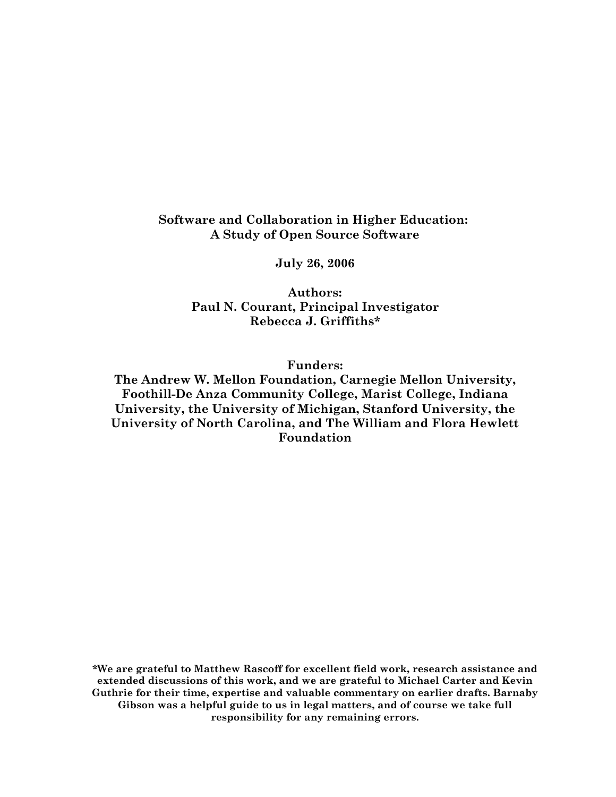## Software and Collaboration in Higher Education: A Study of Open Source Software

July 26, 2006

Authors: Paul N. Courant, Principal Investigator Rebecca J. Griffiths\*

Funders:

The Andrew W. Mellon Foundation, Carnegie Mellon University, Foothill-De Anza Community College, Marist College, Indiana University, the University of Michigan, Stanford University, the University of North Carolina, and The William and Flora Hewlett Foundation

\*We are grateful to Matthew Rascoff for excellent field work, research assistance and extended discussions of this work, and we are grateful to Michael Carter and Kevin Guthrie for their time, expertise and valuable commentary on earlier drafts. Barnaby Gibson was a helpful guide to us in legal matters, and of course we take full responsibility for any remaining errors.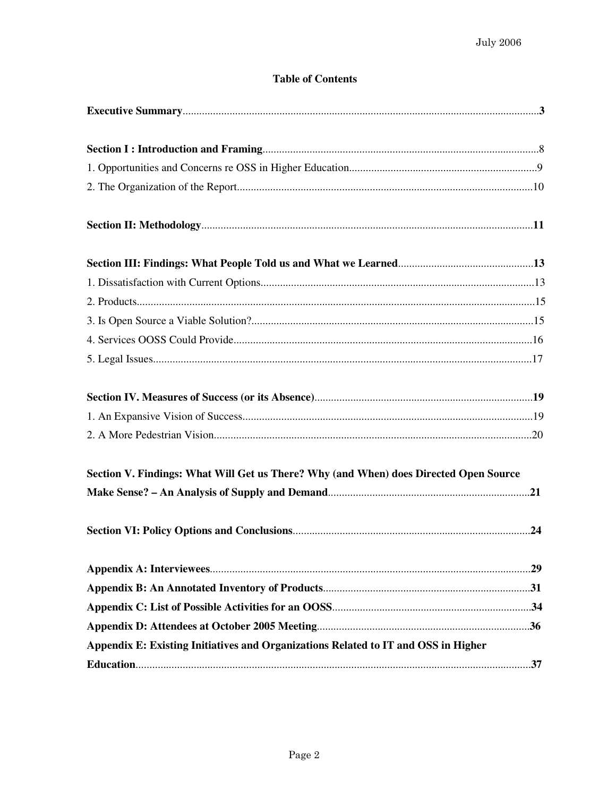## **Table of Contents**

| Section V. Findings: What Will Get us There? Why (and When) does Directed Open Source |  |
|---------------------------------------------------------------------------------------|--|
|                                                                                       |  |
|                                                                                       |  |
|                                                                                       |  |
|                                                                                       |  |
|                                                                                       |  |
|                                                                                       |  |
|                                                                                       |  |
|                                                                                       |  |
|                                                                                       |  |
|                                                                                       |  |
|                                                                                       |  |
|                                                                                       |  |
|                                                                                       |  |
|                                                                                       |  |
|                                                                                       |  |
|                                                                                       |  |
|                                                                                       |  |
|                                                                                       |  |
|                                                                                       |  |
|                                                                                       |  |
| Appendix E: Existing Initiatives and Organizations Related to IT and OSS in Higher    |  |
|                                                                                       |  |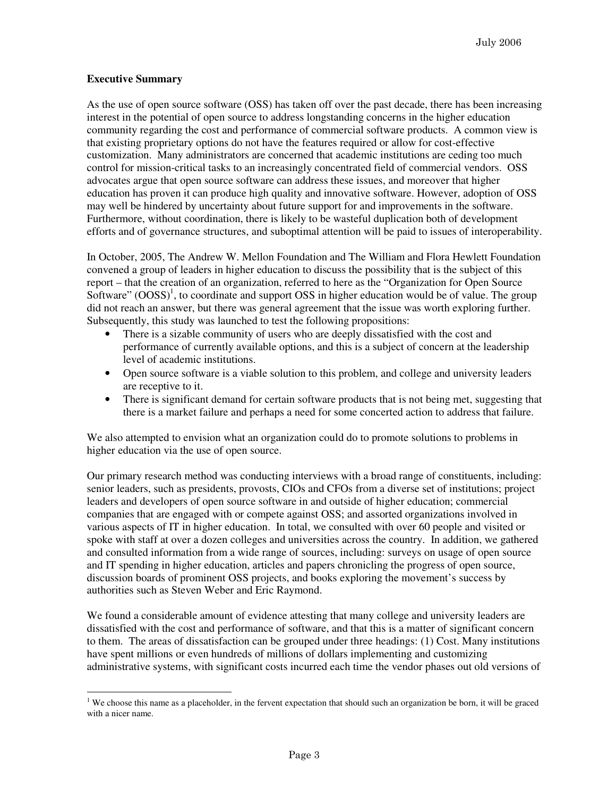#### **Executive Summary**

As the use of open source software (OSS) has taken off over the past decade, there has been increasing interest in the potential of open source to address longstanding concerns in the higher education community regarding the cost and performance of commercial software products. A common view is that existing proprietary options do not have the features required or allow for cost-effective customization. Many administrators are concerned that academic institutions are ceding too much control for mission-critical tasks to an increasingly concentrated field of commercial vendors. OSS advocates argue that open source software can address these issues, and moreover that higher education has proven it can produce high quality and innovative software. However, adoption of OSS may well be hindered by uncertainty about future support for and improvements in the software. Furthermore, without coordination, there is likely to be wasteful duplication both of development efforts and of governance structures, and suboptimal attention will be paid to issues of interoperability.

In October, 2005, The Andrew W. Mellon Foundation and The William and Flora Hewlett Foundation convened a group of leaders in higher education to discuss the possibility that is the subject of this report – that the creation of an organization, referred to here as the "Organization for Open Source Software" (OOSS)<sup>1</sup>, to coordinate and support OSS in higher education would be of value. The group did not reach an answer, but there was general agreement that the issue was worth exploring further. Subsequently, this study was launched to test the following propositions:

- There is a sizable community of users who are deeply dissatisfied with the cost and performance of currently available options, and this is a subject of concern at the leadership level of academic institutions.
- Open source software is a viable solution to this problem, and college and university leaders are receptive to it.
- There is significant demand for certain software products that is not being met, suggesting that there is a market failure and perhaps a need for some concerted action to address that failure.

We also attempted to envision what an organization could do to promote solutions to problems in higher education via the use of open source.

Our primary research method was conducting interviews with a broad range of constituents, including: senior leaders, such as presidents, provosts, CIOs and CFOs from a diverse set of institutions; project leaders and developers of open source software in and outside of higher education; commercial companies that are engaged with or compete against OSS; and assorted organizations involved in various aspects of IT in higher education. In total, we consulted with over 60 people and visited or spoke with staff at over a dozen colleges and universities across the country. In addition, we gathered and consulted information from a wide range of sources, including: surveys on usage of open source and IT spending in higher education, articles and papers chronicling the progress of open source, discussion boards of prominent OSS projects, and books exploring the movement's success by authorities such as Steven Weber and Eric Raymond.

We found a considerable amount of evidence attesting that many college and university leaders are dissatisfied with the cost and performance of software, and that this is a matter of significant concern to them. The areas of dissatisfaction can be grouped under three headings: (1) Cost. Many institutions have spent millions or even hundreds of millions of dollars implementing and customizing administrative systems, with significant costs incurred each time the vendor phases out old versions of

 $\overline{a}$ <sup>1</sup> We choose this name as a placeholder, in the fervent expectation that should such an organization be born, it will be graced with a nicer name.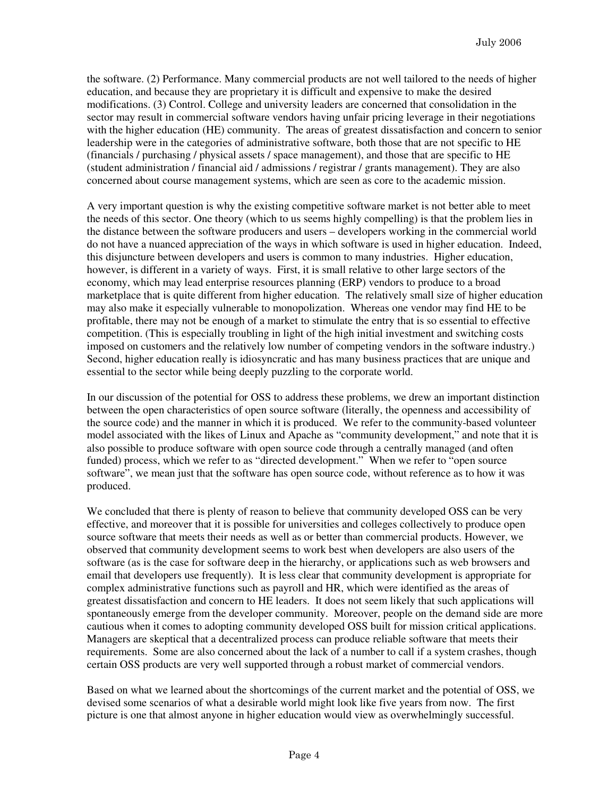the software. (2) Performance. Many commercial products are not well tailored to the needs of higher education, and because they are proprietary it is difficult and expensive to make the desired modifications. (3) Control. College and university leaders are concerned that consolidation in the sector may result in commercial software vendors having unfair pricing leverage in their negotiations with the higher education (HE) community. The areas of greatest dissatisfaction and concern to senior leadership were in the categories of administrative software, both those that are not specific to HE (financials / purchasing / physical assets / space management), and those that are specific to HE (student administration / financial aid / admissions / registrar / grants management). They are also concerned about course management systems, which are seen as core to the academic mission.

A very important question is why the existing competitive software market is not better able to meet the needs of this sector. One theory (which to us seems highly compelling) is that the problem lies in the distance between the software producers and users – developers working in the commercial world do not have a nuanced appreciation of the ways in which software is used in higher education. Indeed, this disjuncture between developers and users is common to many industries. Higher education, however, is different in a variety of ways. First, it is small relative to other large sectors of the economy, which may lead enterprise resources planning (ERP) vendors to produce to a broad marketplace that is quite different from higher education. The relatively small size of higher education may also make it especially vulnerable to monopolization. Whereas one vendor may find HE to be profitable, there may not be enough of a market to stimulate the entry that is so essential to effective competition. (This is especially troubling in light of the high initial investment and switching costs imposed on customers and the relatively low number of competing vendors in the software industry.) Second, higher education really is idiosyncratic and has many business practices that are unique and essential to the sector while being deeply puzzling to the corporate world.

In our discussion of the potential for OSS to address these problems, we drew an important distinction between the open characteristics of open source software (literally, the openness and accessibility of the source code) and the manner in which it is produced. We refer to the community-based volunteer model associated with the likes of Linux and Apache as "community development," and note that it is also possible to produce software with open source code through a centrally managed (and often funded) process, which we refer to as "directed development." When we refer to "open source software", we mean just that the software has open source code, without reference as to how it was produced.

We concluded that there is plenty of reason to believe that community developed OSS can be very effective, and moreover that it is possible for universities and colleges collectively to produce open source software that meets their needs as well as or better than commercial products. However, we observed that community development seems to work best when developers are also users of the software (as is the case for software deep in the hierarchy, or applications such as web browsers and email that developers use frequently). It is less clear that community development is appropriate for complex administrative functions such as payroll and HR, which were identified as the areas of greatest dissatisfaction and concern to HE leaders. It does not seem likely that such applications will spontaneously emerge from the developer community. Moreover, people on the demand side are more cautious when it comes to adopting community developed OSS built for mission critical applications. Managers are skeptical that a decentralized process can produce reliable software that meets their requirements. Some are also concerned about the lack of a number to call if a system crashes, though certain OSS products are very well supported through a robust market of commercial vendors.

Based on what we learned about the shortcomings of the current market and the potential of OSS, we devised some scenarios of what a desirable world might look like five years from now. The first picture is one that almost anyone in higher education would view as overwhelmingly successful.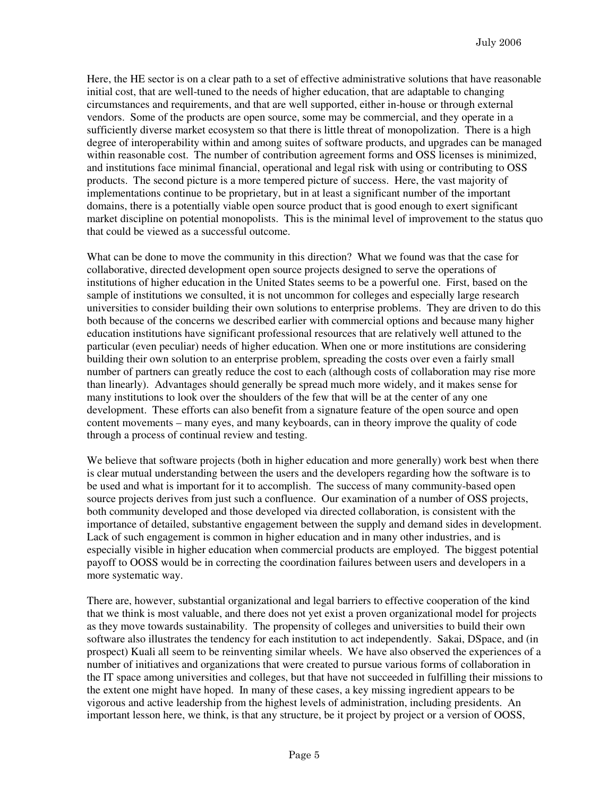Here, the HE sector is on a clear path to a set of effective administrative solutions that have reasonable initial cost, that are well-tuned to the needs of higher education, that are adaptable to changing circumstances and requirements, and that are well supported, either in-house or through external vendors. Some of the products are open source, some may be commercial, and they operate in a sufficiently diverse market ecosystem so that there is little threat of monopolization. There is a high degree of interoperability within and among suites of software products, and upgrades can be managed within reasonable cost. The number of contribution agreement forms and OSS licenses is minimized, and institutions face minimal financial, operational and legal risk with using or contributing to OSS products. The second picture is a more tempered picture of success. Here, the vast majority of implementations continue to be proprietary, but in at least a significant number of the important domains, there is a potentially viable open source product that is good enough to exert significant market discipline on potential monopolists. This is the minimal level of improvement to the status quo that could be viewed as a successful outcome.

What can be done to move the community in this direction? What we found was that the case for collaborative, directed development open source projects designed to serve the operations of institutions of higher education in the United States seems to be a powerful one. First, based on the sample of institutions we consulted, it is not uncommon for colleges and especially large research universities to consider building their own solutions to enterprise problems. They are driven to do this both because of the concerns we described earlier with commercial options and because many higher education institutions have significant professional resources that are relatively well attuned to the particular (even peculiar) needs of higher education. When one or more institutions are considering building their own solution to an enterprise problem, spreading the costs over even a fairly small number of partners can greatly reduce the cost to each (although costs of collaboration may rise more than linearly). Advantages should generally be spread much more widely, and it makes sense for many institutions to look over the shoulders of the few that will be at the center of any one development. These efforts can also benefit from a signature feature of the open source and open content movements – many eyes, and many keyboards, can in theory improve the quality of code through a process of continual review and testing.

We believe that software projects (both in higher education and more generally) work best when there is clear mutual understanding between the users and the developers regarding how the software is to be used and what is important for it to accomplish. The success of many community-based open source projects derives from just such a confluence. Our examination of a number of OSS projects, both community developed and those developed via directed collaboration, is consistent with the importance of detailed, substantive engagement between the supply and demand sides in development. Lack of such engagement is common in higher education and in many other industries, and is especially visible in higher education when commercial products are employed. The biggest potential payoff to OOSS would be in correcting the coordination failures between users and developers in a more systematic way.

There are, however, substantial organizational and legal barriers to effective cooperation of the kind that we think is most valuable, and there does not yet exist a proven organizational model for projects as they move towards sustainability. The propensity of colleges and universities to build their own software also illustrates the tendency for each institution to act independently. Sakai, DSpace, and (in prospect) Kuali all seem to be reinventing similar wheels. We have also observed the experiences of a number of initiatives and organizations that were created to pursue various forms of collaboration in the IT space among universities and colleges, but that have not succeeded in fulfilling their missions to the extent one might have hoped. In many of these cases, a key missing ingredient appears to be vigorous and active leadership from the highest levels of administration, including presidents. An important lesson here, we think, is that any structure, be it project by project or a version of OOSS,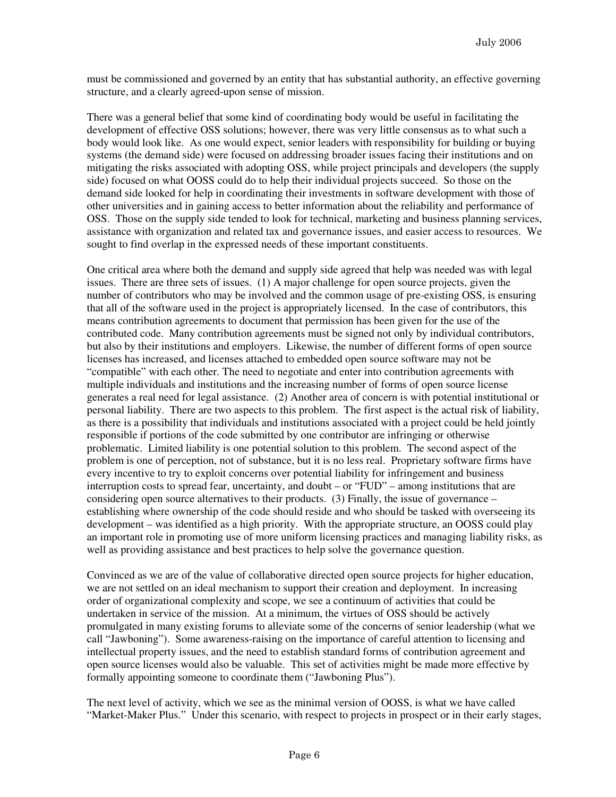must be commissioned and governed by an entity that has substantial authority, an effective governing structure, and a clearly agreed-upon sense of mission.

There was a general belief that some kind of coordinating body would be useful in facilitating the development of effective OSS solutions; however, there was very little consensus as to what such a body would look like. As one would expect, senior leaders with responsibility for building or buying systems (the demand side) were focused on addressing broader issues facing their institutions and on mitigating the risks associated with adopting OSS, while project principals and developers (the supply side) focused on what OOSS could do to help their individual projects succeed. So those on the demand side looked for help in coordinating their investments in software development with those of other universities and in gaining access to better information about the reliability and performance of OSS. Those on the supply side tended to look for technical, marketing and business planning services, assistance with organization and related tax and governance issues, and easier access to resources. We sought to find overlap in the expressed needs of these important constituents.

One critical area where both the demand and supply side agreed that help was needed was with legal issues. There are three sets of issues. (1) A major challenge for open source projects, given the number of contributors who may be involved and the common usage of pre-existing OSS, is ensuring that all of the software used in the project is appropriately licensed. In the case of contributors, this means contribution agreements to document that permission has been given for the use of the contributed code. Many contribution agreements must be signed not only by individual contributors, but also by their institutions and employers. Likewise, the number of different forms of open source licenses has increased, and licenses attached to embedded open source software may not be "compatible" with each other. The need to negotiate and enter into contribution agreements with multiple individuals and institutions and the increasing number of forms of open source license generates a real need for legal assistance. (2) Another area of concern is with potential institutional or personal liability. There are two aspects to this problem. The first aspect is the actual risk of liability, as there is a possibility that individuals and institutions associated with a project could be held jointly responsible if portions of the code submitted by one contributor are infringing or otherwise problematic. Limited liability is one potential solution to this problem. The second aspect of the problem is one of perception, not of substance, but it is no less real. Proprietary software firms have every incentive to try to exploit concerns over potential liability for infringement and business interruption costs to spread fear, uncertainty, and doubt – or "FUD" – among institutions that are considering open source alternatives to their products. (3) Finally, the issue of governance – establishing where ownership of the code should reside and who should be tasked with overseeing its development – was identified as a high priority. With the appropriate structure, an OOSS could play an important role in promoting use of more uniform licensing practices and managing liability risks, as well as providing assistance and best practices to help solve the governance question.

Convinced as we are of the value of collaborative directed open source projects for higher education, we are not settled on an ideal mechanism to support their creation and deployment. In increasing order of organizational complexity and scope, we see a continuum of activities that could be undertaken in service of the mission. At a minimum, the virtues of OSS should be actively promulgated in many existing forums to alleviate some of the concerns of senior leadership (what we call "Jawboning"). Some awareness-raising on the importance of careful attention to licensing and intellectual property issues, and the need to establish standard forms of contribution agreement and open source licenses would also be valuable. This set of activities might be made more effective by formally appointing someone to coordinate them ("Jawboning Plus").

The next level of activity, which we see as the minimal version of OOSS, is what we have called "Market-Maker Plus." Under this scenario, with respect to projects in prospect or in their early stages,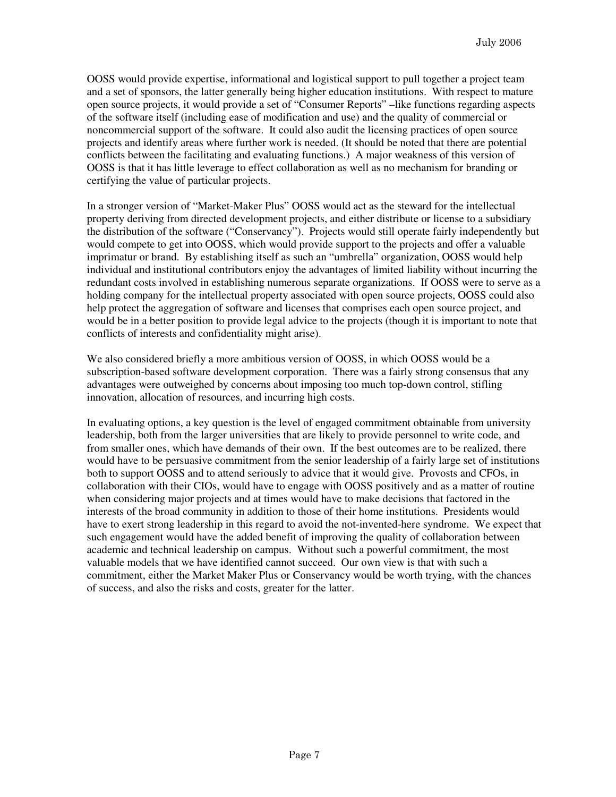OOSS would provide expertise, informational and logistical support to pull together a project team and a set of sponsors, the latter generally being higher education institutions. With respect to mature open source projects, it would provide a set of "Consumer Reports" –like functions regarding aspects of the software itself (including ease of modification and use) and the quality of commercial or noncommercial support of the software. It could also audit the licensing practices of open source projects and identify areas where further work is needed. (It should be noted that there are potential conflicts between the facilitating and evaluating functions.) A major weakness of this version of OOSS is that it has little leverage to effect collaboration as well as no mechanism for branding or certifying the value of particular projects.

In a stronger version of "Market-Maker Plus" OOSS would act as the steward for the intellectual property deriving from directed development projects, and either distribute or license to a subsidiary the distribution of the software ("Conservancy"). Projects would still operate fairly independently but would compete to get into OOSS, which would provide support to the projects and offer a valuable imprimatur or brand. By establishing itself as such an "umbrella" organization, OOSS would help individual and institutional contributors enjoy the advantages of limited liability without incurring the redundant costs involved in establishing numerous separate organizations. If OOSS were to serve as a holding company for the intellectual property associated with open source projects, OOSS could also help protect the aggregation of software and licenses that comprises each open source project, and would be in a better position to provide legal advice to the projects (though it is important to note that conflicts of interests and confidentiality might arise).

We also considered briefly a more ambitious version of OOSS, in which OOSS would be a subscription-based software development corporation. There was a fairly strong consensus that any advantages were outweighed by concerns about imposing too much top-down control, stifling innovation, allocation of resources, and incurring high costs.

In evaluating options, a key question is the level of engaged commitment obtainable from university leadership, both from the larger universities that are likely to provide personnel to write code, and from smaller ones, which have demands of their own. If the best outcomes are to be realized, there would have to be persuasive commitment from the senior leadership of a fairly large set of institutions both to support OOSS and to attend seriously to advice that it would give. Provosts and CFOs, in collaboration with their CIOs, would have to engage with OOSS positively and as a matter of routine when considering major projects and at times would have to make decisions that factored in the interests of the broad community in addition to those of their home institutions. Presidents would have to exert strong leadership in this regard to avoid the not-invented-here syndrome. We expect that such engagement would have the added benefit of improving the quality of collaboration between academic and technical leadership on campus. Without such a powerful commitment, the most valuable models that we have identified cannot succeed. Our own view is that with such a commitment, either the Market Maker Plus or Conservancy would be worth trying, with the chances of success, and also the risks and costs, greater for the latter.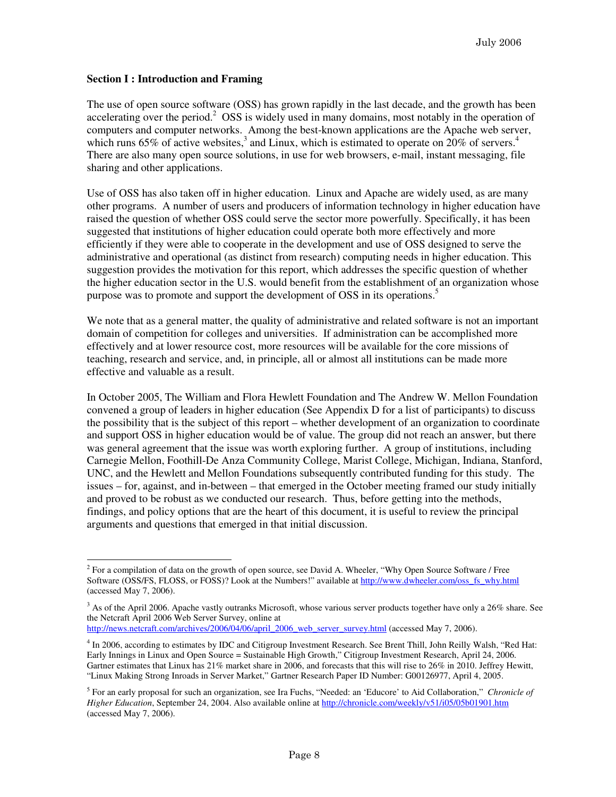#### **Section I : Introduction and Framing**

The use of open source software (OSS) has grown rapidly in the last decade, and the growth has been accelerating over the period.<sup>2</sup> OSS is widely used in many domains, most notably in the operation of computers and computer networks. Among the best-known applications are the Apache web server, which runs 65% of active websites,<sup>3</sup> and Linux, which is estimated to operate on  $20\%$  of servers.<sup>4</sup> There are also many open source solutions, in use for web browsers, e-mail, instant messaging, file sharing and other applications.

Use of OSS has also taken off in higher education. Linux and Apache are widely used, as are many other programs. A number of users and producers of information technology in higher education have raised the question of whether OSS could serve the sector more powerfully. Specifically, it has been suggested that institutions of higher education could operate both more effectively and more efficiently if they were able to cooperate in the development and use of OSS designed to serve the administrative and operational (as distinct from research) computing needs in higher education. This suggestion provides the motivation for this report, which addresses the specific question of whether the higher education sector in the U.S. would benefit from the establishment of an organization whose purpose was to promote and support the development of OSS in its operations.<sup>5</sup>

We note that as a general matter, the quality of administrative and related software is not an important domain of competition for colleges and universities. If administration can be accomplished more effectively and at lower resource cost, more resources will be available for the core missions of teaching, research and service, and, in principle, all or almost all institutions can be made more effective and valuable as a result.

In October 2005, The William and Flora Hewlett Foundation and The Andrew W. Mellon Foundation convened a group of leaders in higher education (See Appendix D for a list of participants) to discuss the possibility that is the subject of this report – whether development of an organization to coordinate and support OSS in higher education would be of value. The group did not reach an answer, but there was general agreement that the issue was worth exploring further. A group of institutions, including Carnegie Mellon, Foothill-De Anza Community College, Marist College, Michigan, Indiana, Stanford, UNC, and the Hewlett and Mellon Foundations subsequently contributed funding for this study. The issues – for, against, and in-between – that emerged in the October meeting framed our study initially and proved to be robust as we conducted our research. Thus, before getting into the methods, findings, and policy options that are the heart of this document, it is useful to review the principal arguments and questions that emerged in that initial discussion.

 $2^2$  For a compilation of data on the growth of open source, see David A. Wheeler, "Why Open Source Software / Free Software (OSS/FS, FLOSS, or FOSS)? Look at the Numbers!" available at http://www.dwheeler.com/oss\_fs\_why.html (accessed May 7, 2006).

 $3$  As of the April 2006. Apache vastly outranks Microsoft, whose various server products together have only a 26% share. See the Netcraft April 2006 Web Server Survey, online at

http://news.netcraft.com/archives/2006/04/06/april\_2006\_web\_server\_survey.html (accessed May 7, 2006).

<sup>&</sup>lt;sup>4</sup> In 2006, according to estimates by IDC and Citigroup Investment Research. See Brent Thill, John Reilly Walsh, "Red Hat: Early Innings in Linux and Open Source = Sustainable High Growth," Citigroup Investment Research, April 24, 2006. Gartner estimates that Linux has 21% market share in 2006, and forecasts that this will rise to 26% in 2010. Jeffrey Hewitt, "Linux Making Strong Inroads in Server Market," Gartner Research Paper ID Number: G00126977, April 4, 2005.

<sup>5</sup> For an early proposal for such an organization, see Ira Fuchs, "Needed: an 'Educore' to Aid Collaboration," *Chronicle of Higher Education*, September 24, 2004. Also available online at http://chronicle.com/weekly/v51/i05/05b01901.htm (accessed May 7, 2006).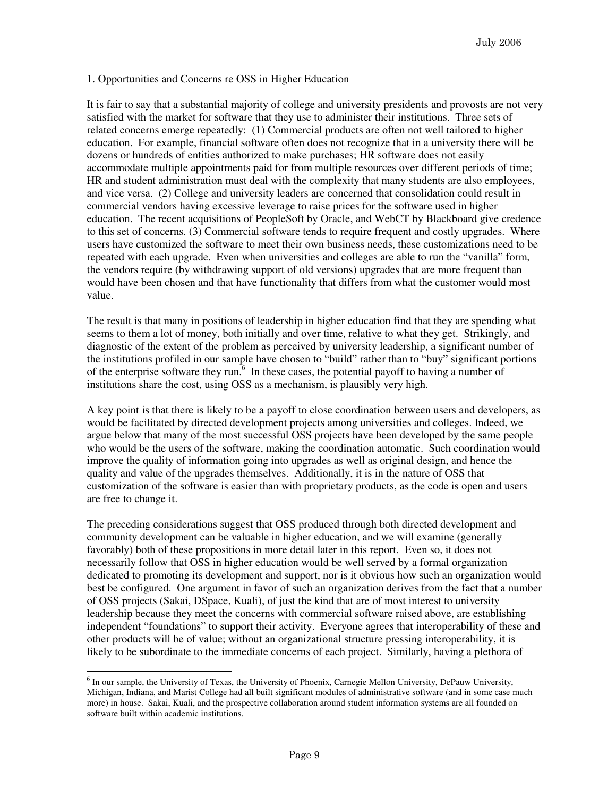#### 1. Opportunities and Concerns re OSS in Higher Education

It is fair to say that a substantial majority of college and university presidents and provosts are not very satisfied with the market for software that they use to administer their institutions. Three sets of related concerns emerge repeatedly: (1) Commercial products are often not well tailored to higher education. For example, financial software often does not recognize that in a university there will be dozens or hundreds of entities authorized to make purchases; HR software does not easily accommodate multiple appointments paid for from multiple resources over different periods of time; HR and student administration must deal with the complexity that many students are also employees, and vice versa. (2) College and university leaders are concerned that consolidation could result in commercial vendors having excessive leverage to raise prices for the software used in higher education. The recent acquisitions of PeopleSoft by Oracle, and WebCT by Blackboard give credence to this set of concerns. (3) Commercial software tends to require frequent and costly upgrades. Where users have customized the software to meet their own business needs, these customizations need to be repeated with each upgrade. Even when universities and colleges are able to run the "vanilla" form, the vendors require (by withdrawing support of old versions) upgrades that are more frequent than would have been chosen and that have functionality that differs from what the customer would most value.

The result is that many in positions of leadership in higher education find that they are spending what seems to them a lot of money, both initially and over time, relative to what they get. Strikingly, and diagnostic of the extent of the problem as perceived by university leadership, a significant number of the institutions profiled in our sample have chosen to "build" rather than to "buy" significant portions of the enterprise software they run.<sup>6</sup> In these cases, the potential payoff to having a number of institutions share the cost, using OSS as a mechanism, is plausibly very high.

A key point is that there is likely to be a payoff to close coordination between users and developers, as would be facilitated by directed development projects among universities and colleges. Indeed, we argue below that many of the most successful OSS projects have been developed by the same people who would be the users of the software, making the coordination automatic. Such coordination would improve the quality of information going into upgrades as well as original design, and hence the quality and value of the upgrades themselves. Additionally, it is in the nature of OSS that customization of the software is easier than with proprietary products, as the code is open and users are free to change it.

The preceding considerations suggest that OSS produced through both directed development and community development can be valuable in higher education, and we will examine (generally favorably) both of these propositions in more detail later in this report. Even so, it does not necessarily follow that OSS in higher education would be well served by a formal organization dedicated to promoting its development and support, nor is it obvious how such an organization would best be configured. One argument in favor of such an organization derives from the fact that a number of OSS projects (Sakai, DSpace, Kuali), of just the kind that are of most interest to university leadership because they meet the concerns with commercial software raised above, are establishing independent "foundations" to support their activity. Everyone agrees that interoperability of these and other products will be of value; without an organizational structure pressing interoperability, it is likely to be subordinate to the immediate concerns of each project. Similarly, having a plethora of

 $\overline{a}$ 

<sup>&</sup>lt;sup>6</sup> In our sample, the University of Texas, the University of Phoenix, Carnegie Mellon University, DePauw University, Michigan, Indiana, and Marist College had all built significant modules of administrative software (and in some case much more) in house. Sakai, Kuali, and the prospective collaboration around student information systems are all founded on software built within academic institutions.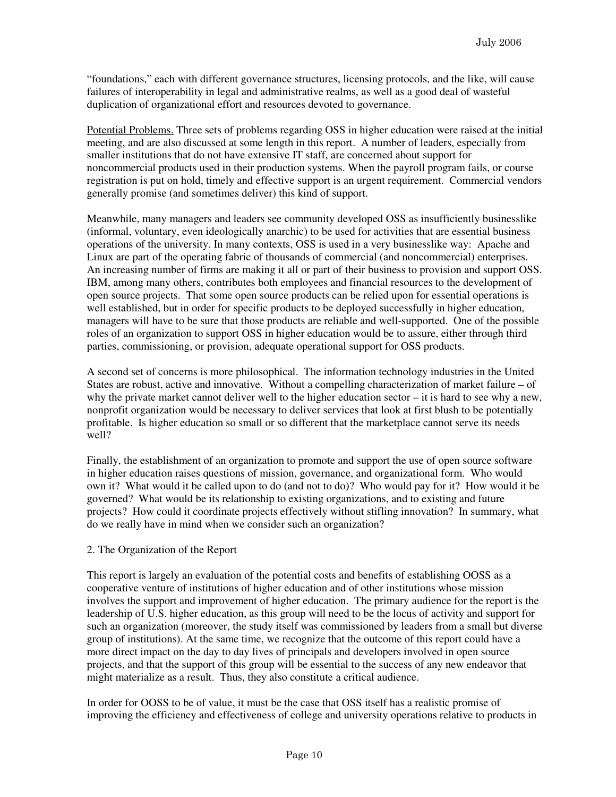"foundations," each with different governance structures, licensing protocols, and the like, will cause failures of interoperability in legal and administrative realms, as well as a good deal of wasteful duplication of organizational effort and resources devoted to governance.

Potential Problems. Three sets of problems regarding OSS in higher education were raised at the initial meeting, and are also discussed at some length in this report. A number of leaders, especially from smaller institutions that do not have extensive IT staff, are concerned about support for noncommercial products used in their production systems. When the payroll program fails, or course registration is put on hold, timely and effective support is an urgent requirement. Commercial vendors generally promise (and sometimes deliver) this kind of support.

Meanwhile, many managers and leaders see community developed OSS as insufficiently businesslike (informal, voluntary, even ideologically anarchic) to be used for activities that are essential business operations of the university. In many contexts, OSS is used in a very businesslike way: Apache and Linux are part of the operating fabric of thousands of commercial (and noncommercial) enterprises. An increasing number of firms are making it all or part of their business to provision and support OSS. IBM, among many others, contributes both employees and financial resources to the development of open source projects. That some open source products can be relied upon for essential operations is well established, but in order for specific products to be deployed successfully in higher education, managers will have to be sure that those products are reliable and well-supported. One of the possible roles of an organization to support OSS in higher education would be to assure, either through third parties, commissioning, or provision, adequate operational support for OSS products.

A second set of concerns is more philosophical. The information technology industries in the United States are robust, active and innovative. Without a compelling characterization of market failure – of why the private market cannot deliver well to the higher education sector – it is hard to see why a new, nonprofit organization would be necessary to deliver services that look at first blush to be potentially profitable. Is higher education so small or so different that the marketplace cannot serve its needs well?

Finally, the establishment of an organization to promote and support the use of open source software in higher education raises questions of mission, governance, and organizational form. Who would own it? What would it be called upon to do (and not to do)? Who would pay for it? How would it be governed? What would be its relationship to existing organizations, and to existing and future projects? How could it coordinate projects effectively without stifling innovation? In summary, what do we really have in mind when we consider such an organization?

#### 2. The Organization of the Report

This report is largely an evaluation of the potential costs and benefits of establishing OOSS as a cooperative venture of institutions of higher education and of other institutions whose mission involves the support and improvement of higher education. The primary audience for the report is the leadership of U.S. higher education, as this group will need to be the locus of activity and support for such an organization (moreover, the study itself was commissioned by leaders from a small but diverse group of institutions). At the same time, we recognize that the outcome of this report could have a more direct impact on the day to day lives of principals and developers involved in open source projects, and that the support of this group will be essential to the success of any new endeavor that might materialize as a result. Thus, they also constitute a critical audience.

In order for OOSS to be of value, it must be the case that OSS itself has a realistic promise of improving the efficiency and effectiveness of college and university operations relative to products in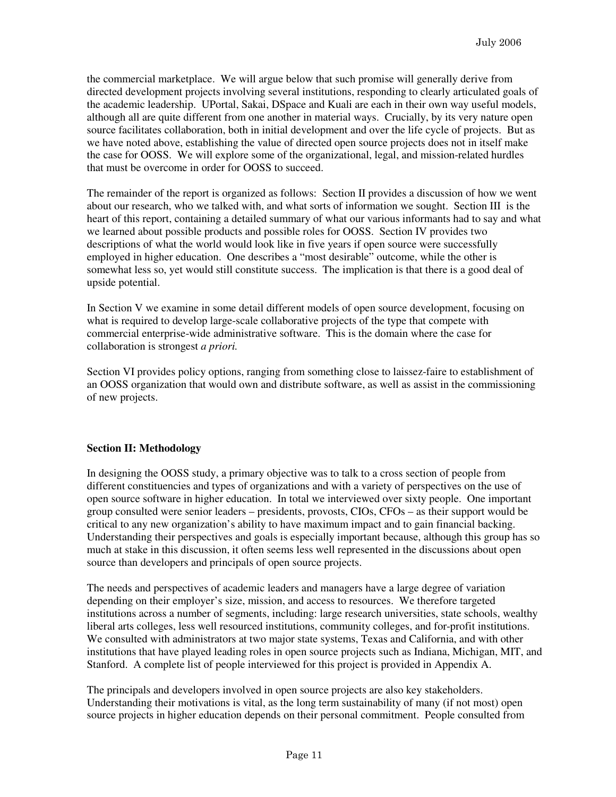the commercial marketplace. We will argue below that such promise will generally derive from directed development projects involving several institutions, responding to clearly articulated goals of the academic leadership. UPortal, Sakai, DSpace and Kuali are each in their own way useful models, although all are quite different from one another in material ways. Crucially, by its very nature open source facilitates collaboration, both in initial development and over the life cycle of projects. But as we have noted above, establishing the value of directed open source projects does not in itself make the case for OOSS. We will explore some of the organizational, legal, and mission-related hurdles that must be overcome in order for OOSS to succeed.

The remainder of the report is organized as follows: Section II provides a discussion of how we went about our research, who we talked with, and what sorts of information we sought. Section III is the heart of this report, containing a detailed summary of what our various informants had to say and what we learned about possible products and possible roles for OOSS. Section IV provides two descriptions of what the world would look like in five years if open source were successfully employed in higher education. One describes a "most desirable" outcome, while the other is somewhat less so, yet would still constitute success. The implication is that there is a good deal of upside potential.

In Section V we examine in some detail different models of open source development, focusing on what is required to develop large-scale collaborative projects of the type that compete with commercial enterprise-wide administrative software. This is the domain where the case for collaboration is strongest *a priori.*

Section VI provides policy options, ranging from something close to laissez-faire to establishment of an OOSS organization that would own and distribute software, as well as assist in the commissioning of new projects.

## **Section II: Methodology**

In designing the OOSS study, a primary objective was to talk to a cross section of people from different constituencies and types of organizations and with a variety of perspectives on the use of open source software in higher education. In total we interviewed over sixty people. One important group consulted were senior leaders – presidents, provosts, CIOs, CFOs – as their support would be critical to any new organization's ability to have maximum impact and to gain financial backing. Understanding their perspectives and goals is especially important because, although this group has so much at stake in this discussion, it often seems less well represented in the discussions about open source than developers and principals of open source projects.

The needs and perspectives of academic leaders and managers have a large degree of variation depending on their employer's size, mission, and access to resources. We therefore targeted institutions across a number of segments, including: large research universities, state schools, wealthy liberal arts colleges, less well resourced institutions, community colleges, and for-profit institutions. We consulted with administrators at two major state systems, Texas and California, and with other institutions that have played leading roles in open source projects such as Indiana, Michigan, MIT, and Stanford. A complete list of people interviewed for this project is provided in Appendix A.

The principals and developers involved in open source projects are also key stakeholders. Understanding their motivations is vital, as the long term sustainability of many (if not most) open source projects in higher education depends on their personal commitment. People consulted from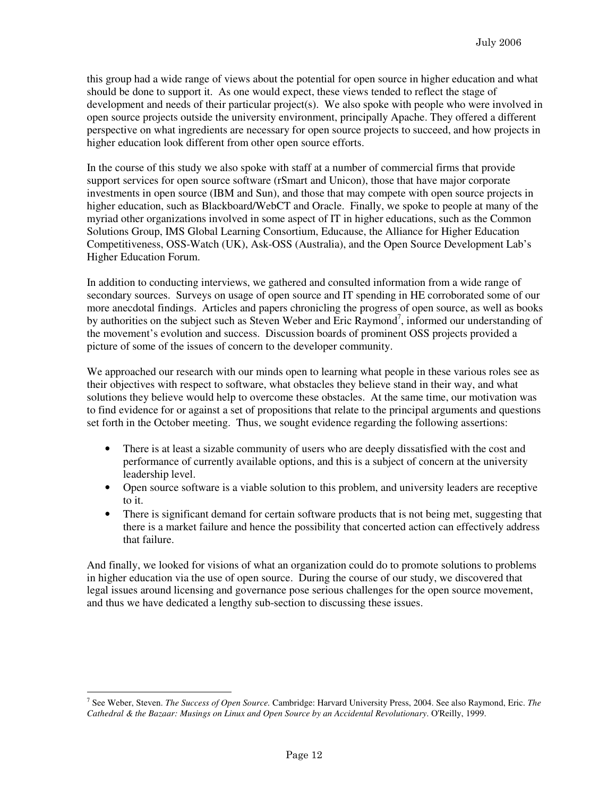this group had a wide range of views about the potential for open source in higher education and what should be done to support it. As one would expect, these views tended to reflect the stage of development and needs of their particular project(s). We also spoke with people who were involved in open source projects outside the university environment, principally Apache. They offered a different perspective on what ingredients are necessary for open source projects to succeed, and how projects in higher education look different from other open source efforts.

In the course of this study we also spoke with staff at a number of commercial firms that provide support services for open source software (rSmart and Unicon), those that have major corporate investments in open source (IBM and Sun), and those that may compete with open source projects in higher education, such as Blackboard/WebCT and Oracle. Finally, we spoke to people at many of the myriad other organizations involved in some aspect of IT in higher educations, such as the Common Solutions Group, IMS Global Learning Consortium, Educause, the Alliance for Higher Education Competitiveness, OSS-Watch (UK), Ask-OSS (Australia), and the Open Source Development Lab's Higher Education Forum.

In addition to conducting interviews, we gathered and consulted information from a wide range of secondary sources. Surveys on usage of open source and IT spending in HE corroborated some of our more anecdotal findings. Articles and papers chronicling the progress of open source, as well as books by authorities on the subject such as Steven Weber and Eric Raymond<sup>7</sup>, informed our understanding of the movement's evolution and success. Discussion boards of prominent OSS projects provided a picture of some of the issues of concern to the developer community.

We approached our research with our minds open to learning what people in these various roles see as their objectives with respect to software, what obstacles they believe stand in their way, and what solutions they believe would help to overcome these obstacles. At the same time, our motivation was to find evidence for or against a set of propositions that relate to the principal arguments and questions set forth in the October meeting. Thus, we sought evidence regarding the following assertions:

- There is at least a sizable community of users who are deeply dissatisfied with the cost and performance of currently available options, and this is a subject of concern at the university leadership level.
- Open source software is a viable solution to this problem, and university leaders are receptive to it.
- There is significant demand for certain software products that is not being met, suggesting that there is a market failure and hence the possibility that concerted action can effectively address that failure.

And finally, we looked for visions of what an organization could do to promote solutions to problems in higher education via the use of open source. During the course of our study, we discovered that legal issues around licensing and governance pose serious challenges for the open source movement, and thus we have dedicated a lengthy sub-section to discussing these issues.

 $\overline{a}$ 7 See Weber, Steven. *The Success of Open Source.* Cambridge: Harvard University Press, 2004. See also Raymond, Eric. *The Cathedral & the Bazaar: Musings on Linux and Open Source by an Accidental Revolutionary*. O'Reilly, 1999.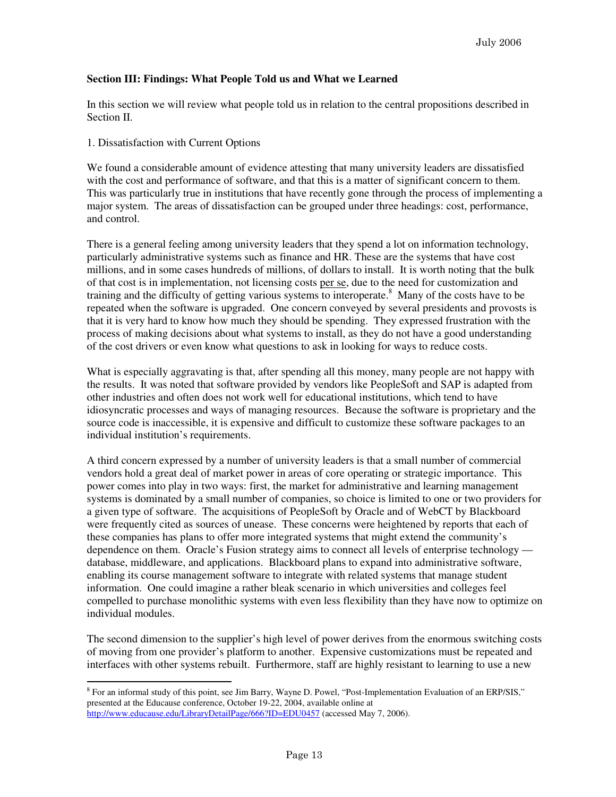#### **Section III: Findings: What People Told us and What we Learned**

In this section we will review what people told us in relation to the central propositions described in Section II.

#### 1. Dissatisfaction with Current Options

We found a considerable amount of evidence attesting that many university leaders are dissatisfied with the cost and performance of software, and that this is a matter of significant concern to them. This was particularly true in institutions that have recently gone through the process of implementing a major system. The areas of dissatisfaction can be grouped under three headings: cost, performance, and control.

There is a general feeling among university leaders that they spend a lot on information technology, particularly administrative systems such as finance and HR. These are the systems that have cost millions, and in some cases hundreds of millions, of dollars to install. It is worth noting that the bulk of that cost is in implementation, not licensing costs per se, due to the need for customization and training and the difficulty of getting various systems to interoperate.<sup>8</sup> Many of the costs have to be repeated when the software is upgraded. One concern conveyed by several presidents and provosts is that it is very hard to know how much they should be spending. They expressed frustration with the process of making decisions about what systems to install, as they do not have a good understanding of the cost drivers or even know what questions to ask in looking for ways to reduce costs.

What is especially aggravating is that, after spending all this money, many people are not happy with the results. It was noted that software provided by vendors like PeopleSoft and SAP is adapted from other industries and often does not work well for educational institutions, which tend to have idiosyncratic processes and ways of managing resources. Because the software is proprietary and the source code is inaccessible, it is expensive and difficult to customize these software packages to an individual institution's requirements.

A third concern expressed by a number of university leaders is that a small number of commercial vendors hold a great deal of market power in areas of core operating or strategic importance. This power comes into play in two ways: first, the market for administrative and learning management systems is dominated by a small number of companies, so choice is limited to one or two providers for a given type of software. The acquisitions of PeopleSoft by Oracle and of WebCT by Blackboard were frequently cited as sources of unease. These concerns were heightened by reports that each of these companies has plans to offer more integrated systems that might extend the community's dependence on them. Oracle's Fusion strategy aims to connect all levels of enterprise technology database, middleware, and applications. Blackboard plans to expand into administrative software, enabling its course management software to integrate with related systems that manage student information. One could imagine a rather bleak scenario in which universities and colleges feel compelled to purchase monolithic systems with even less flexibility than they have now to optimize on individual modules.

The second dimension to the supplier's high level of power derives from the enormous switching costs of moving from one provider's platform to another. Expensive customizations must be repeated and interfaces with other systems rebuilt. Furthermore, staff are highly resistant to learning to use a new

l <sup>8</sup> For an informal study of this point, see Jim Barry, Wayne D. Powel, "Post-Implementation Evaluation of an ERP/SIS," presented at the Educause conference, October 19-22, 2004, available online at http://www.educause.edu/LibraryDetailPage/666?ID=EDU0457 (accessed May 7, 2006).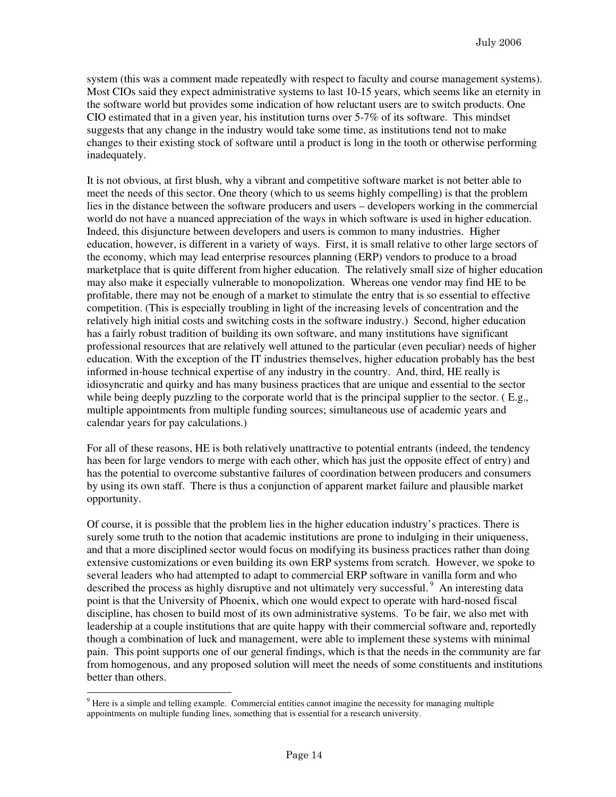system (this was a comment made repeatedly with respect to faculty and course management systems). Most CIOs said they expect administrative systems to last 10-15 years, which seems like an eternity in the software world but provides some indication of how reluctant users are to switch products. One CIO estimated that in a given year, his institution turns over 5-7% of its software. This mindset suggests that any change in the industry would take some time, as institutions tend not to make changes to their existing stock of software until a product is long in the tooth or otherwise performing inadequately.

It is not obvious, at first blush, why a vibrant and competitive software market is not better able to meet the needs of this sector. One theory (which to us seems highly compelling) is that the problem lies in the distance between the software producers and users – developers working in the commercial world do not have a nuanced appreciation of the ways in which software is used in higher education. Indeed, this disjuncture between developers and users is common to many industries. Higher education, however, is different in a variety of ways. First, it is small relative to other large sectors of the economy, which may lead enterprise resources planning (ERP) vendors to produce to a broad marketplace that is quite different from higher education. The relatively small size of higher education may also make it especially vulnerable to monopolization. Whereas one vendor may find HE to be profitable, there may not be enough of a market to stimulate the entry that is so essential to effective competition. (This is especially troubling in light of the increasing levels of concentration and the relatively high initial costs and switching costs in the software industry.) Second, higher education has a fairly robust tradition of building its own software, and many institutions have significant professional resources that are relatively well attuned to the particular (even peculiar) needs of higher education. With the exception of the IT industries themselves, higher education probably has the best informed in-house technical expertise of any industry in the country. And, third, HE really is idiosyncratic and quirky and has many business practices that are unique and essential to the sector while being deeply puzzling to the corporate world that is the principal supplier to the sector. (E.g., multiple appointments from multiple funding sources; simultaneous use of academic years and calendar years for pay calculations.)

For all of these reasons, HE is both relatively unattractive to potential entrants (indeed, the tendency has been for large vendors to merge with each other, which has just the opposite effect of entry) and has the potential to overcome substantive failures of coordination between producers and consumers by using its own staff. There is thus a conjunction of apparent market failure and plausible market opportunity.

Of course, it is possible that the problem lies in the higher education industry's practices. There is surely some truth to the notion that academic institutions are prone to indulging in their uniqueness, and that a more disciplined sector would focus on modifying its business practices rather than doing extensive customizations or even building its own ERP systems from scratch. However, we spoke to several leaders who had attempted to adapt to commercial ERP software in vanilla form and who described the process as highly disruptive and not ultimately very successful.<sup>9</sup> An interesting data point is that the University of Phoenix, which one would expect to operate with hard-nosed fiscal discipline, has chosen to build most of its own administrative systems. To be fair, we also met with leadership at a couple institutions that are quite happy with their commercial software and, reportedly though a combination of luck and management, were able to implement these systems with minimal pain. This point supports one of our general findings, which is that the needs in the community are far from homogenous, and any proposed solution will meet the needs of some constituents and institutions better than others.

<sup>&</sup>lt;sup>9</sup> Here is a simple and telling example. Commercial entities cannot imagine the necessity for managing multiple appointments on multiple funding lines, something that is essential for a research university.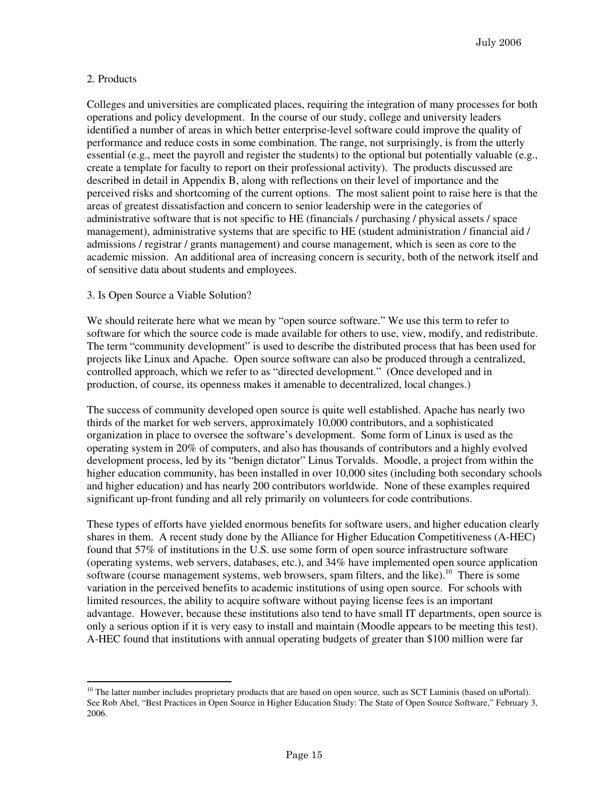#### 2. Products

Colleges and universities are complicated places, requiring the integration of many processes for both operations and policy development. In the course of our study, college and university leaders identified a number of areas in which better enterprise-level software could improve the quality of performance and reduce costs in some combination. The range, not surprisingly, is from the utterly essential (e.g., meet the payroll and register the students) to the optional but potentially valuable (e.g., create a template for faculty to report on their professional activity). The products discussed are described in detail in Appendix B, along with reflections on their level of importance and the perceived risks and shortcoming of the current options. The most salient point to raise here is that the areas of greatest dissatisfaction and concern to senior leadership were in the categories of administrative software that is not specific to HE (financials / purchasing / physical assets / space management), administrative systems that are specific to HE (student administration / financial aid / admissions / registrar / grants management) and course management, which is seen as core to the academic mission. An additional area of increasing concern is security, both of the network itself and of sensitive data about students and employees.

#### 3. Is Open Source a Viable Solution?

We should reiterate here what we mean by "open source software." We use this term to refer to software for which the source code is made available for others to use, view, modify, and redistribute. The term "community development" is used to describe the distributed process that has been used for projects like Linux and Apache. Open source software can also be produced through a centralized, controlled approach, which we refer to as "directed development." (Once developed and in production, of course, its openness makes it amenable to decentralized, local changes.)

The success of community developed open source is quite well established. Apache has nearly two thirds of the market for web servers, approximately 10,000 contributors, and a sophisticated organization in place to oversee the software's development. Some form of Linux is used as the operating system in 20% of computers, and also has thousands of contributors and a highly evolved development process, led by its "benign dictator" Linus Torvalds. Moodle, a project from within the higher education community, has been installed in over 10,000 sites (including both secondary schools and higher education) and has nearly 200 contributors worldwide. None of these examples required significant up-front funding and all rely primarily on volunteers for code contributions.

These types of efforts have yielded enormous benefits for software users, and higher education clearly shares in them. A recent study done by the Alliance for Higher Education Competitiveness (A-HEC) found that 57% of institutions in the U.S. use some form of open source infrastructure software (operating systems, web servers, databases, etc.), and 34% have implemented open source application software (course management systems, web browsers, spam filters, and the like).<sup>10</sup> There is some variation in the perceived benefits to academic institutions of using open source. For schools with limited resources, the ability to acquire software without paying license fees is an important advantage. However, because these institutions also tend to have small IT departments, open source is only a serious option if it is very easy to install and maintain (Moodle appears to be meeting this test). A-HEC found that institutions with annual operating budgets of greater than \$100 million were far

l  $10$  The latter number includes proprietary products that are based on open source, such as SCT Luminis (based on uPortal). See Rob Abel, "Best Practices in Open Source in Higher Education Study: The State of Open Source Software," February 3, 2006.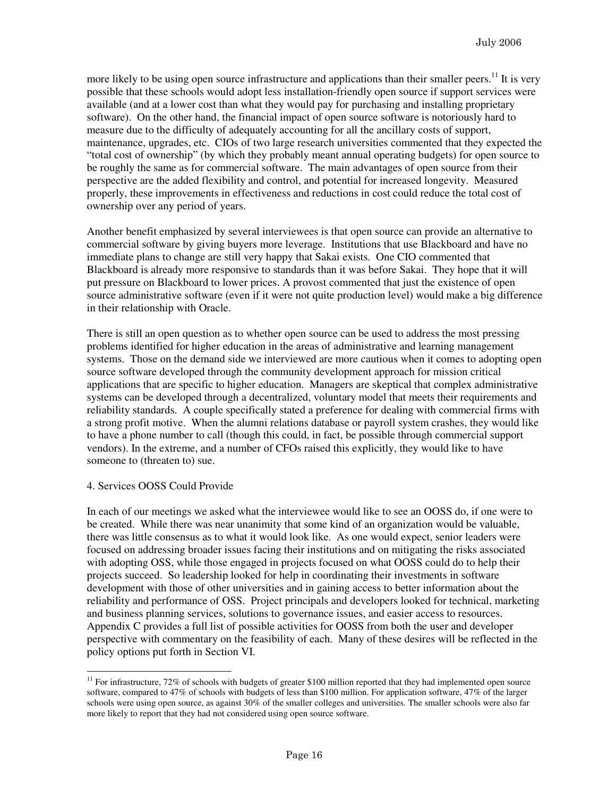more likely to be using open source infrastructure and applications than their smaller peers.<sup>11</sup> It is very possible that these schools would adopt less installation-friendly open source if support services were available (and at a lower cost than what they would pay for purchasing and installing proprietary software). On the other hand, the financial impact of open source software is notoriously hard to measure due to the difficulty of adequately accounting for all the ancillary costs of support, maintenance, upgrades, etc. CIOs of two large research universities commented that they expected the "total cost of ownership" (by which they probably meant annual operating budgets) for open source to be roughly the same as for commercial software. The main advantages of open source from their perspective are the added flexibility and control, and potential for increased longevity. Measured properly, these improvements in effectiveness and reductions in cost could reduce the total cost of ownership over any period of years.

Another benefit emphasized by several interviewees is that open source can provide an alternative to commercial software by giving buyers more leverage. Institutions that use Blackboard and have no immediate plans to change are still very happy that Sakai exists. One CIO commented that Blackboard is already more responsive to standards than it was before Sakai. They hope that it will put pressure on Blackboard to lower prices. A provost commented that just the existence of open source administrative software (even if it were not quite production level) would make a big difference in their relationship with Oracle.

There is still an open question as to whether open source can be used to address the most pressing problems identified for higher education in the areas of administrative and learning management systems. Those on the demand side we interviewed are more cautious when it comes to adopting open source software developed through the community development approach for mission critical applications that are specific to higher education. Managers are skeptical that complex administrative systems can be developed through a decentralized, voluntary model that meets their requirements and reliability standards. A couple specifically stated a preference for dealing with commercial firms with a strong profit motive. When the alumni relations database or payroll system crashes, they would like to have a phone number to call (though this could, in fact, be possible through commercial support vendors). In the extreme, and a number of CFOs raised this explicitly, they would like to have someone to (threaten to) sue.

#### 4. Services OOSS Could Provide

 $\overline{a}$ 

In each of our meetings we asked what the interviewee would like to see an OOSS do, if one were to be created. While there was near unanimity that some kind of an organization would be valuable, there was little consensus as to what it would look like. As one would expect, senior leaders were focused on addressing broader issues facing their institutions and on mitigating the risks associated with adopting OSS, while those engaged in projects focused on what OOSS could do to help their projects succeed. So leadership looked for help in coordinating their investments in software development with those of other universities and in gaining access to better information about the reliability and performance of OSS. Project principals and developers looked for technical, marketing and business planning services, solutions to governance issues, and easier access to resources. Appendix C provides a full list of possible activities for OOSS from both the user and developer perspective with commentary on the feasibility of each. Many of these desires will be reflected in the policy options put forth in Section VI.

<sup>&</sup>lt;sup>11</sup> For infrastructure,  $72\%$  of schools with budgets of greater \$100 million reported that they had implemented open source software, compared to 47% of schools with budgets of less than \$100 million. For application software, 47% of the larger schools were using open source, as against 30% of the smaller colleges and universities. The smaller schools were also far more likely to report that they had not considered using open source software.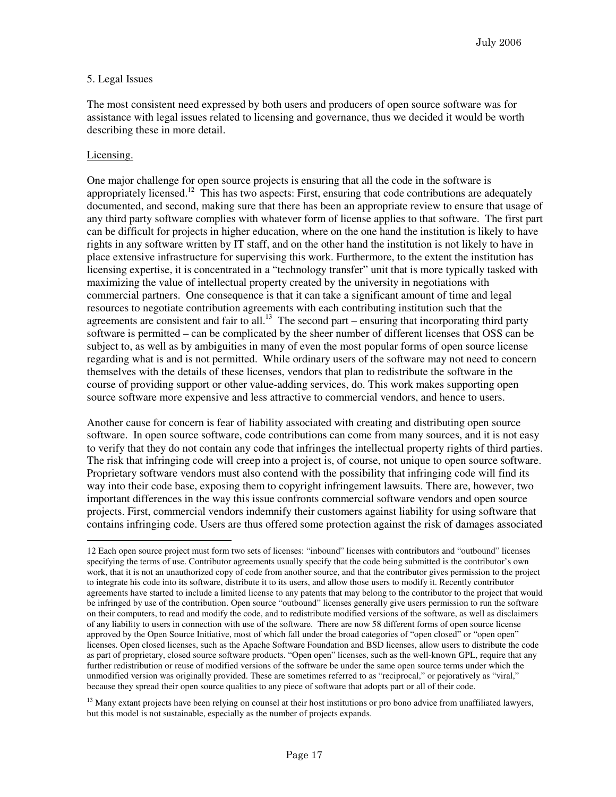#### 5. Legal Issues

The most consistent need expressed by both users and producers of open source software was for assistance with legal issues related to licensing and governance, thus we decided it would be worth describing these in more detail.

#### Licensing.

One major challenge for open source projects is ensuring that all the code in the software is appropriately licensed.<sup>12</sup> This has two aspects: First, ensuring that code contributions are adequately documented, and second, making sure that there has been an appropriate review to ensure that usage of any third party software complies with whatever form of license applies to that software. The first part can be difficult for projects in higher education, where on the one hand the institution is likely to have rights in any software written by IT staff, and on the other hand the institution is not likely to have in place extensive infrastructure for supervising this work. Furthermore, to the extent the institution has licensing expertise, it is concentrated in a "technology transfer" unit that is more typically tasked with maximizing the value of intellectual property created by the university in negotiations with commercial partners. One consequence is that it can take a significant amount of time and legal resources to negotiate contribution agreements with each contributing institution such that the agreements are consistent and fair to all.<sup>13</sup> The second part – ensuring that incorporating third party software is permitted – can be complicated by the sheer number of different licenses that OSS can be subject to, as well as by ambiguities in many of even the most popular forms of open source license regarding what is and is not permitted. While ordinary users of the software may not need to concern themselves with the details of these licenses, vendors that plan to redistribute the software in the course of providing support or other value-adding services, do. This work makes supporting open source software more expensive and less attractive to commercial vendors, and hence to users.

Another cause for concern is fear of liability associated with creating and distributing open source software. In open source software, code contributions can come from many sources, and it is not easy to verify that they do not contain any code that infringes the intellectual property rights of third parties. The risk that infringing code will creep into a project is, of course, not unique to open source software. Proprietary software vendors must also contend with the possibility that infringing code will find its way into their code base, exposing them to copyright infringement lawsuits. There are, however, two important differences in the way this issue confronts commercial software vendors and open source projects. First, commercial vendors indemnify their customers against liability for using software that contains infringing code. Users are thus offered some protection against the risk of damages associated

 $<sup>13</sup>$  Many extant projects have been relying on counsel at their host institutions or pro bono advice from unaffiliated lawyers,</sup> but this model is not sustainable, especially as the number of projects expands.

 $\overline{a}$ 12 Each open source project must form two sets of licenses: "inbound" licenses with contributors and "outbound" licenses specifying the terms of use. Contributor agreements usually specify that the code being submitted is the contributor's own work, that it is not an unauthorized copy of code from another source, and that the contributor gives permission to the project to integrate his code into its software, distribute it to its users, and allow those users to modify it. Recently contributor agreements have started to include a limited license to any patents that may belong to the contributor to the project that would be infringed by use of the contribution. Open source "outbound" licenses generally give users permission to run the software on their computers, to read and modify the code, and to redistribute modified versions of the software, as well as disclaimers of any liability to users in connection with use of the software. There are now 58 different forms of open source license approved by the Open Source Initiative, most of which fall under the broad categories of "open closed" or "open open" licenses. Open closed licenses, such as the Apache Software Foundation and BSD licenses, allow users to distribute the code as part of proprietary, closed source software products. "Open open" licenses, such as the well-known GPL, require that any further redistribution or reuse of modified versions of the software be under the same open source terms under which the unmodified version was originally provided. These are sometimes referred to as "reciprocal," or pejoratively as "viral," because they spread their open source qualities to any piece of software that adopts part or all of their code.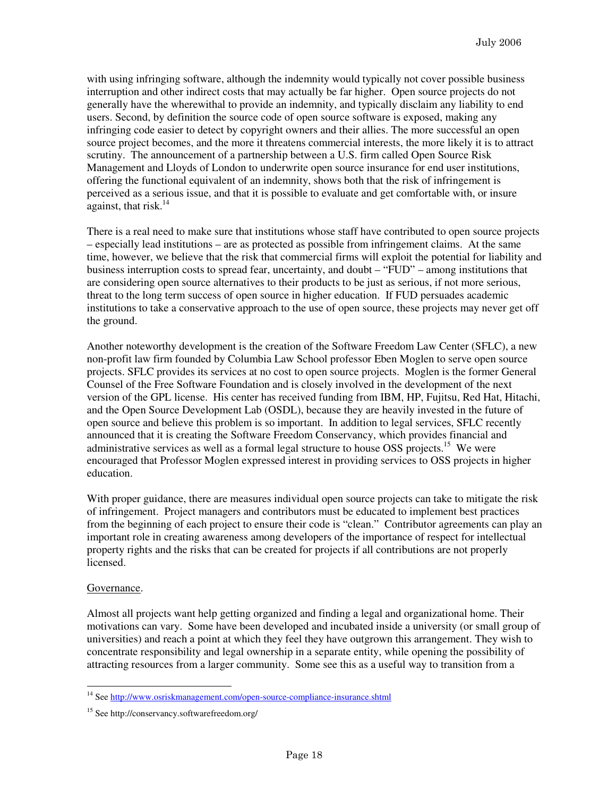with using infringing software, although the indemnity would typically not cover possible business interruption and other indirect costs that may actually be far higher. Open source projects do not generally have the wherewithal to provide an indemnity, and typically disclaim any liability to end users. Second, by definition the source code of open source software is exposed, making any infringing code easier to detect by copyright owners and their allies. The more successful an open source project becomes, and the more it threatens commercial interests, the more likely it is to attract scrutiny. The announcement of a partnership between a U.S. firm called Open Source Risk Management and Lloyds of London to underwrite open source insurance for end user institutions, offering the functional equivalent of an indemnity, shows both that the risk of infringement is perceived as a serious issue, and that it is possible to evaluate and get comfortable with, or insure against, that risk. $14$ 

There is a real need to make sure that institutions whose staff have contributed to open source projects – especially lead institutions – are as protected as possible from infringement claims. At the same time, however, we believe that the risk that commercial firms will exploit the potential for liability and business interruption costs to spread fear, uncertainty, and doubt – "FUD" – among institutions that are considering open source alternatives to their products to be just as serious, if not more serious, threat to the long term success of open source in higher education. If FUD persuades academic institutions to take a conservative approach to the use of open source, these projects may never get off the ground.

Another noteworthy development is the creation of the Software Freedom Law Center (SFLC), a new non-profit law firm founded by Columbia Law School professor Eben Moglen to serve open source projects. SFLC provides its services at no cost to open source projects. Moglen is the former General Counsel of the Free Software Foundation and is closely involved in the development of the next version of the GPL license. His center has received funding from IBM, HP, Fujitsu, Red Hat, Hitachi, and the Open Source Development Lab (OSDL), because they are heavily invested in the future of open source and believe this problem is so important. In addition to legal services, SFLC recently announced that it is creating the Software Freedom Conservancy, which provides financial and administrative services as well as a formal legal structure to house OSS projects.<sup>15</sup> We were encouraged that Professor Moglen expressed interest in providing services to OSS projects in higher education.

With proper guidance, there are measures individual open source projects can take to mitigate the risk of infringement. Project managers and contributors must be educated to implement best practices from the beginning of each project to ensure their code is "clean." Contributor agreements can play an important role in creating awareness among developers of the importance of respect for intellectual property rights and the risks that can be created for projects if all contributions are not properly licensed.

#### Governance.

Almost all projects want help getting organized and finding a legal and organizational home. Their motivations can vary. Some have been developed and incubated inside a university (or small group of universities) and reach a point at which they feel they have outgrown this arrangement. They wish to concentrate responsibility and legal ownership in a separate entity, while opening the possibility of attracting resources from a larger community. Some see this as a useful way to transition from a

 $\overline{a}$ <sup>14</sup> See http://www.osriskmanagement.com/open-source-compliance-insurance.shtml

<sup>15</sup> See http://conservancy.softwarefreedom.org/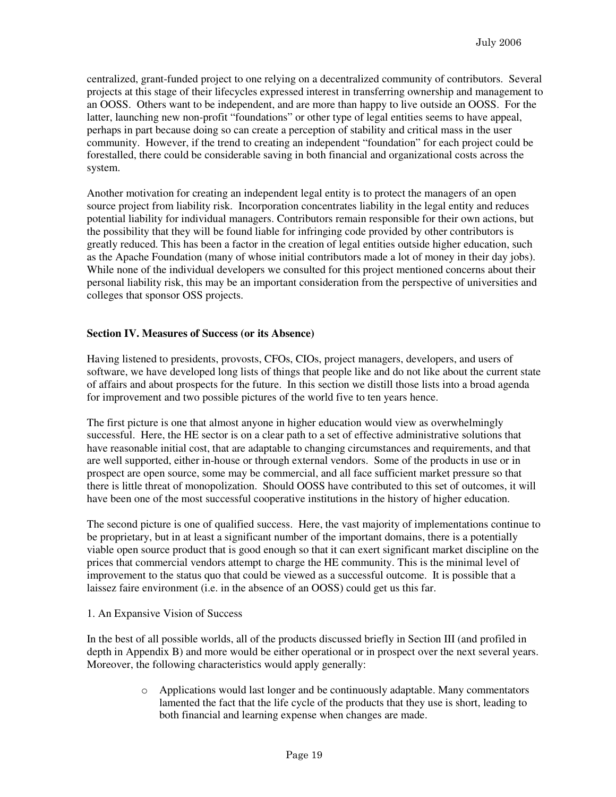centralized, grant-funded project to one relying on a decentralized community of contributors. Several projects at this stage of their lifecycles expressed interest in transferring ownership and management to an OOSS. Others want to be independent, and are more than happy to live outside an OOSS. For the latter, launching new non-profit "foundations" or other type of legal entities seems to have appeal, perhaps in part because doing so can create a perception of stability and critical mass in the user community. However, if the trend to creating an independent "foundation" for each project could be forestalled, there could be considerable saving in both financial and organizational costs across the system.

Another motivation for creating an independent legal entity is to protect the managers of an open source project from liability risk. Incorporation concentrates liability in the legal entity and reduces potential liability for individual managers. Contributors remain responsible for their own actions, but the possibility that they will be found liable for infringing code provided by other contributors is greatly reduced. This has been a factor in the creation of legal entities outside higher education, such as the Apache Foundation (many of whose initial contributors made a lot of money in their day jobs). While none of the individual developers we consulted for this project mentioned concerns about their personal liability risk, this may be an important consideration from the perspective of universities and colleges that sponsor OSS projects.

#### **Section IV. Measures of Success (or its Absence)**

Having listened to presidents, provosts, CFOs, CIOs, project managers, developers, and users of software, we have developed long lists of things that people like and do not like about the current state of affairs and about prospects for the future. In this section we distill those lists into a broad agenda for improvement and two possible pictures of the world five to ten years hence.

The first picture is one that almost anyone in higher education would view as overwhelmingly successful. Here, the HE sector is on a clear path to a set of effective administrative solutions that have reasonable initial cost, that are adaptable to changing circumstances and requirements, and that are well supported, either in-house or through external vendors. Some of the products in use or in prospect are open source, some may be commercial, and all face sufficient market pressure so that there is little threat of monopolization. Should OOSS have contributed to this set of outcomes, it will have been one of the most successful cooperative institutions in the history of higher education.

The second picture is one of qualified success. Here, the vast majority of implementations continue to be proprietary, but in at least a significant number of the important domains, there is a potentially viable open source product that is good enough so that it can exert significant market discipline on the prices that commercial vendors attempt to charge the HE community. This is the minimal level of improvement to the status quo that could be viewed as a successful outcome. It is possible that a laissez faire environment (i.e. in the absence of an OOSS) could get us this far.

#### 1. An Expansive Vision of Success

In the best of all possible worlds, all of the products discussed briefly in Section III (and profiled in depth in Appendix B) and more would be either operational or in prospect over the next several years. Moreover, the following characteristics would apply generally:

> o Applications would last longer and be continuously adaptable. Many commentators lamented the fact that the life cycle of the products that they use is short, leading to both financial and learning expense when changes are made.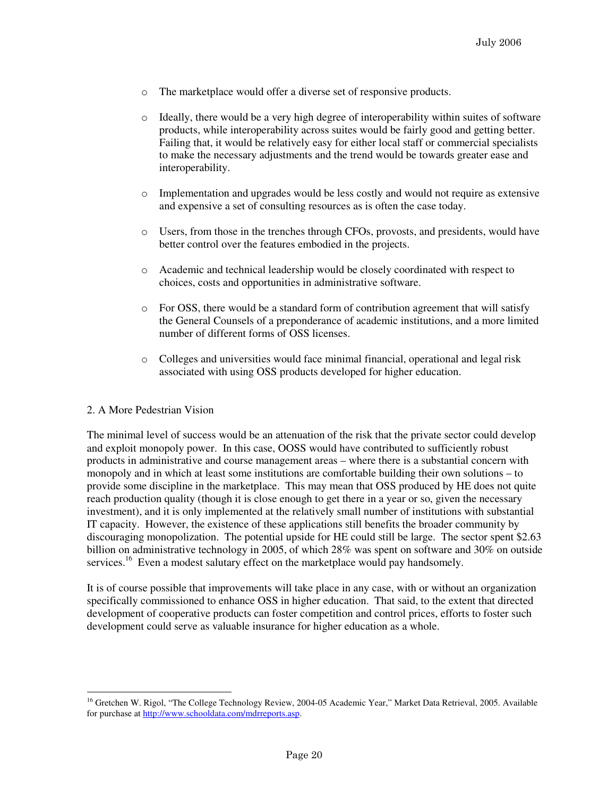- o The marketplace would offer a diverse set of responsive products.
- o Ideally, there would be a very high degree of interoperability within suites of software products, while interoperability across suites would be fairly good and getting better. Failing that, it would be relatively easy for either local staff or commercial specialists to make the necessary adjustments and the trend would be towards greater ease and interoperability.
- o Implementation and upgrades would be less costly and would not require as extensive and expensive a set of consulting resources as is often the case today.
- o Users, from those in the trenches through CFOs, provosts, and presidents, would have better control over the features embodied in the projects.
- o Academic and technical leadership would be closely coordinated with respect to choices, costs and opportunities in administrative software.
- $\circ$  For OSS, there would be a standard form of contribution agreement that will satisfy the General Counsels of a preponderance of academic institutions, and a more limited number of different forms of OSS licenses.
- o Colleges and universities would face minimal financial, operational and legal risk associated with using OSS products developed for higher education.

#### 2. A More Pedestrian Vision

The minimal level of success would be an attenuation of the risk that the private sector could develop and exploit monopoly power. In this case, OOSS would have contributed to sufficiently robust products in administrative and course management areas – where there is a substantial concern with monopoly and in which at least some institutions are comfortable building their own solutions – to provide some discipline in the marketplace. This may mean that OSS produced by HE does not quite reach production quality (though it is close enough to get there in a year or so, given the necessary investment), and it is only implemented at the relatively small number of institutions with substantial IT capacity. However, the existence of these applications still benefits the broader community by discouraging monopolization. The potential upside for HE could still be large. The sector spent \$2.63 billion on administrative technology in 2005, of which 28% was spent on software and 30% on outside services.<sup>16</sup> Even a modest salutary effect on the marketplace would pay handsomely.

It is of course possible that improvements will take place in any case, with or without an organization specifically commissioned to enhance OSS in higher education. That said, to the extent that directed development of cooperative products can foster competition and control prices, efforts to foster such development could serve as valuable insurance for higher education as a whole.

 $\overline{a}$ <sup>16</sup> Gretchen W. Rigol, "The College Technology Review, 2004-05 Academic Year," Market Data Retrieval, 2005. Available for purchase at http://www.schooldata.com/mdrreports.asp.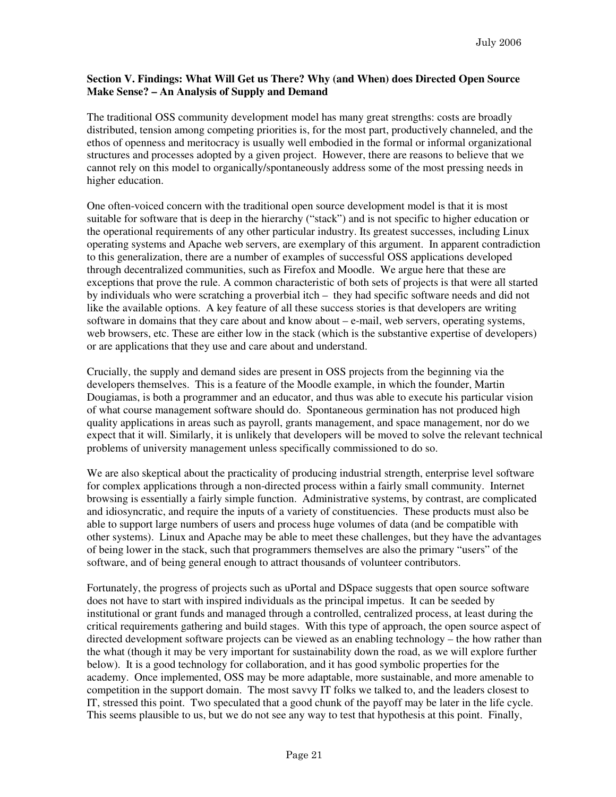#### **Section V. Findings: What Will Get us There? Why (and When) does Directed Open Source Make Sense? – An Analysis of Supply and Demand**

The traditional OSS community development model has many great strengths: costs are broadly distributed, tension among competing priorities is, for the most part, productively channeled, and the ethos of openness and meritocracy is usually well embodied in the formal or informal organizational structures and processes adopted by a given project. However, there are reasons to believe that we cannot rely on this model to organically/spontaneously address some of the most pressing needs in higher education.

One often-voiced concern with the traditional open source development model is that it is most suitable for software that is deep in the hierarchy ("stack") and is not specific to higher education or the operational requirements of any other particular industry. Its greatest successes, including Linux operating systems and Apache web servers, are exemplary of this argument. In apparent contradiction to this generalization, there are a number of examples of successful OSS applications developed through decentralized communities, such as Firefox and Moodle. We argue here that these are exceptions that prove the rule. A common characteristic of both sets of projects is that were all started by individuals who were scratching a proverbial itch – they had specific software needs and did not like the available options. A key feature of all these success stories is that developers are writing software in domains that they care about and know about – e-mail, web servers, operating systems, web browsers, etc. These are either low in the stack (which is the substantive expertise of developers) or are applications that they use and care about and understand.

Crucially, the supply and demand sides are present in OSS projects from the beginning via the developers themselves. This is a feature of the Moodle example, in which the founder, Martin Dougiamas, is both a programmer and an educator, and thus was able to execute his particular vision of what course management software should do. Spontaneous germination has not produced high quality applications in areas such as payroll, grants management, and space management, nor do we expect that it will. Similarly, it is unlikely that developers will be moved to solve the relevant technical problems of university management unless specifically commissioned to do so.

We are also skeptical about the practicality of producing industrial strength, enterprise level software for complex applications through a non-directed process within a fairly small community. Internet browsing is essentially a fairly simple function. Administrative systems, by contrast, are complicated and idiosyncratic, and require the inputs of a variety of constituencies. These products must also be able to support large numbers of users and process huge volumes of data (and be compatible with other systems). Linux and Apache may be able to meet these challenges, but they have the advantages of being lower in the stack, such that programmers themselves are also the primary "users" of the software, and of being general enough to attract thousands of volunteer contributors.

Fortunately, the progress of projects such as uPortal and DSpace suggests that open source software does not have to start with inspired individuals as the principal impetus. It can be seeded by institutional or grant funds and managed through a controlled, centralized process, at least during the critical requirements gathering and build stages. With this type of approach, the open source aspect of directed development software projects can be viewed as an enabling technology – the how rather than the what (though it may be very important for sustainability down the road, as we will explore further below). It is a good technology for collaboration, and it has good symbolic properties for the academy. Once implemented, OSS may be more adaptable, more sustainable, and more amenable to competition in the support domain. The most savvy IT folks we talked to, and the leaders closest to IT, stressed this point. Two speculated that a good chunk of the payoff may be later in the life cycle. This seems plausible to us, but we do not see any way to test that hypothesis at this point. Finally,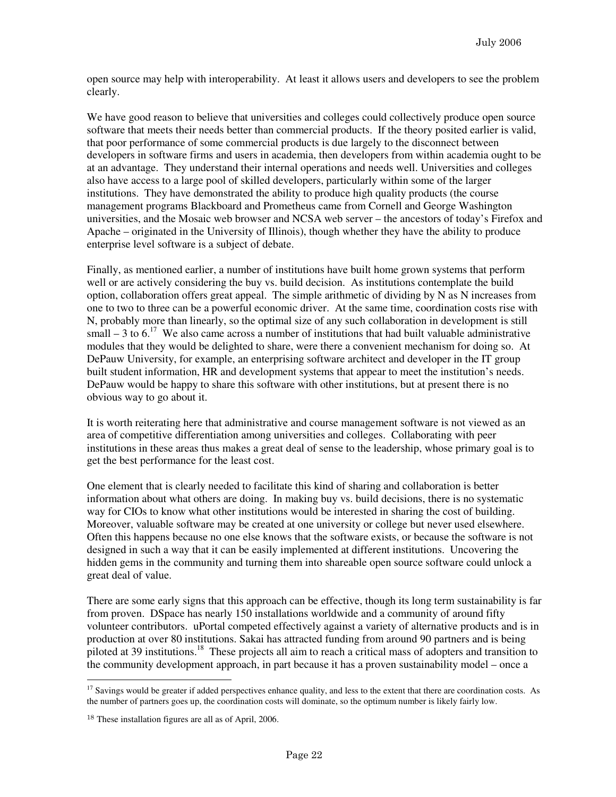open source may help with interoperability. At least it allows users and developers to see the problem clearly.

We have good reason to believe that universities and colleges could collectively produce open source software that meets their needs better than commercial products. If the theory posited earlier is valid, that poor performance of some commercial products is due largely to the disconnect between developers in software firms and users in academia, then developers from within academia ought to be at an advantage. They understand their internal operations and needs well. Universities and colleges also have access to a large pool of skilled developers, particularly within some of the larger institutions. They have demonstrated the ability to produce high quality products (the course management programs Blackboard and Prometheus came from Cornell and George Washington universities, and the Mosaic web browser and NCSA web server – the ancestors of today's Firefox and Apache – originated in the University of Illinois), though whether they have the ability to produce enterprise level software is a subject of debate.

Finally, as mentioned earlier, a number of institutions have built home grown systems that perform well or are actively considering the buy vs. build decision. As institutions contemplate the build option, collaboration offers great appeal. The simple arithmetic of dividing by N as N increases from one to two to three can be a powerful economic driver. At the same time, coordination costs rise with N, probably more than linearly, so the optimal size of any such collaboration in development is still small  $-3$  to 6.<sup>17</sup> We also came across a number of institutions that had built valuable administrative modules that they would be delighted to share, were there a convenient mechanism for doing so. At DePauw University, for example, an enterprising software architect and developer in the IT group built student information, HR and development systems that appear to meet the institution's needs. DePauw would be happy to share this software with other institutions, but at present there is no obvious way to go about it.

It is worth reiterating here that administrative and course management software is not viewed as an area of competitive differentiation among universities and colleges. Collaborating with peer institutions in these areas thus makes a great deal of sense to the leadership, whose primary goal is to get the best performance for the least cost.

One element that is clearly needed to facilitate this kind of sharing and collaboration is better information about what others are doing. In making buy vs. build decisions, there is no systematic way for CIOs to know what other institutions would be interested in sharing the cost of building. Moreover, valuable software may be created at one university or college but never used elsewhere. Often this happens because no one else knows that the software exists, or because the software is not designed in such a way that it can be easily implemented at different institutions. Uncovering the hidden gems in the community and turning them into shareable open source software could unlock a great deal of value.

There are some early signs that this approach can be effective, though its long term sustainability is far from proven. DSpace has nearly 150 installations worldwide and a community of around fifty volunteer contributors. uPortal competed effectively against a variety of alternative products and is in production at over 80 institutions. Sakai has attracted funding from around 90 partners and is being piloted at 39 institutions.<sup>18</sup> These projects all aim to reach a critical mass of adopters and transition to the community development approach, in part because it has a proven sustainability model – once a

 $\overline{a}$  $17$  Savings would be greater if added perspectives enhance quality, and less to the extent that there are coordination costs. As the number of partners goes up, the coordination costs will dominate, so the optimum number is likely fairly low.

<sup>18</sup> These installation figures are all as of April, 2006.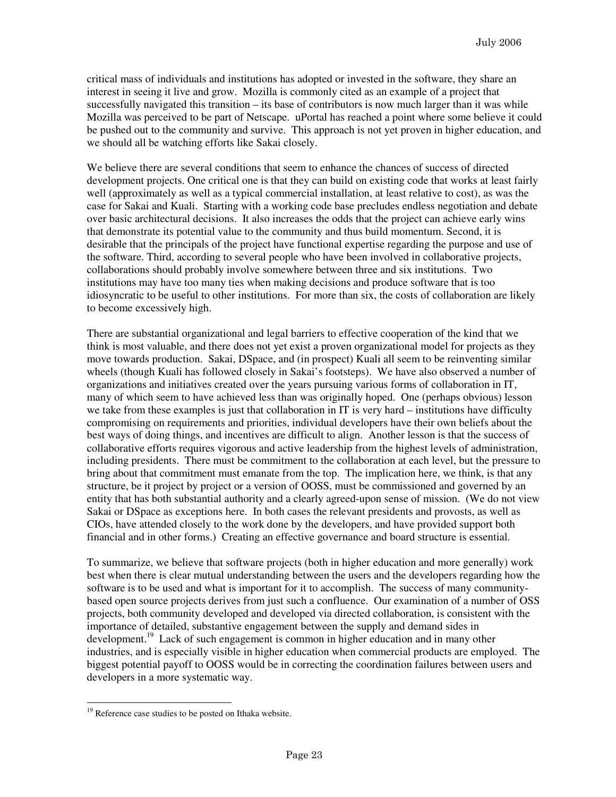critical mass of individuals and institutions has adopted or invested in the software, they share an interest in seeing it live and grow. Mozilla is commonly cited as an example of a project that successfully navigated this transition – its base of contributors is now much larger than it was while Mozilla was perceived to be part of Netscape. uPortal has reached a point where some believe it could be pushed out to the community and survive. This approach is not yet proven in higher education, and we should all be watching efforts like Sakai closely.

We believe there are several conditions that seem to enhance the chances of success of directed development projects. One critical one is that they can build on existing code that works at least fairly well (approximately as well as a typical commercial installation, at least relative to cost), as was the case for Sakai and Kuali. Starting with a working code base precludes endless negotiation and debate over basic architectural decisions. It also increases the odds that the project can achieve early wins that demonstrate its potential value to the community and thus build momentum. Second, it is desirable that the principals of the project have functional expertise regarding the purpose and use of the software. Third, according to several people who have been involved in collaborative projects, collaborations should probably involve somewhere between three and six institutions. Two institutions may have too many ties when making decisions and produce software that is too idiosyncratic to be useful to other institutions. For more than six, the costs of collaboration are likely to become excessively high.

There are substantial organizational and legal barriers to effective cooperation of the kind that we think is most valuable, and there does not yet exist a proven organizational model for projects as they move towards production. Sakai, DSpace, and (in prospect) Kuali all seem to be reinventing similar wheels (though Kuali has followed closely in Sakai's footsteps). We have also observed a number of organizations and initiatives created over the years pursuing various forms of collaboration in IT, many of which seem to have achieved less than was originally hoped. One (perhaps obvious) lesson we take from these examples is just that collaboration in IT is very hard – institutions have difficulty compromising on requirements and priorities, individual developers have their own beliefs about the best ways of doing things, and incentives are difficult to align. Another lesson is that the success of collaborative efforts requires vigorous and active leadership from the highest levels of administration, including presidents. There must be commitment to the collaboration at each level, but the pressure to bring about that commitment must emanate from the top. The implication here, we think, is that any structure, be it project by project or a version of OOSS, must be commissioned and governed by an entity that has both substantial authority and a clearly agreed-upon sense of mission. (We do not view Sakai or DSpace as exceptions here. In both cases the relevant presidents and provosts, as well as CIOs, have attended closely to the work done by the developers, and have provided support both financial and in other forms.) Creating an effective governance and board structure is essential.

To summarize, we believe that software projects (both in higher education and more generally) work best when there is clear mutual understanding between the users and the developers regarding how the software is to be used and what is important for it to accomplish. The success of many communitybased open source projects derives from just such a confluence. Our examination of a number of OSS projects, both community developed and developed via directed collaboration, is consistent with the importance of detailed, substantive engagement between the supply and demand sides in development.<sup>19</sup> Lack of such engagement is common in higher education and in many other industries, and is especially visible in higher education when commercial products are employed. The biggest potential payoff to OOSS would be in correcting the coordination failures between users and developers in a more systematic way.

 $\overline{a}$ <sup>19</sup> Reference case studies to be posted on Ithaka website.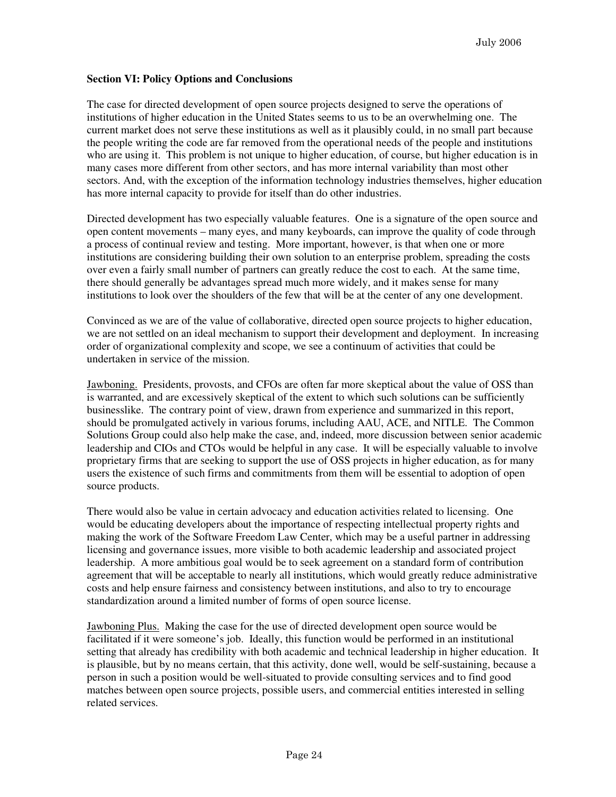#### **Section VI: Policy Options and Conclusions**

The case for directed development of open source projects designed to serve the operations of institutions of higher education in the United States seems to us to be an overwhelming one. The current market does not serve these institutions as well as it plausibly could, in no small part because the people writing the code are far removed from the operational needs of the people and institutions who are using it. This problem is not unique to higher education, of course, but higher education is in many cases more different from other sectors, and has more internal variability than most other sectors. And, with the exception of the information technology industries themselves, higher education has more internal capacity to provide for itself than do other industries.

Directed development has two especially valuable features. One is a signature of the open source and open content movements – many eyes, and many keyboards, can improve the quality of code through a process of continual review and testing. More important, however, is that when one or more institutions are considering building their own solution to an enterprise problem, spreading the costs over even a fairly small number of partners can greatly reduce the cost to each. At the same time, there should generally be advantages spread much more widely, and it makes sense for many institutions to look over the shoulders of the few that will be at the center of any one development.

Convinced as we are of the value of collaborative, directed open source projects to higher education, we are not settled on an ideal mechanism to support their development and deployment. In increasing order of organizational complexity and scope, we see a continuum of activities that could be undertaken in service of the mission.

Jawboning. Presidents, provosts, and CFOs are often far more skeptical about the value of OSS than is warranted, and are excessively skeptical of the extent to which such solutions can be sufficiently businesslike. The contrary point of view, drawn from experience and summarized in this report, should be promulgated actively in various forums, including AAU, ACE, and NITLE. The Common Solutions Group could also help make the case, and, indeed, more discussion between senior academic leadership and CIOs and CTOs would be helpful in any case. It will be especially valuable to involve proprietary firms that are seeking to support the use of OSS projects in higher education, as for many users the existence of such firms and commitments from them will be essential to adoption of open source products.

There would also be value in certain advocacy and education activities related to licensing. One would be educating developers about the importance of respecting intellectual property rights and making the work of the Software Freedom Law Center, which may be a useful partner in addressing licensing and governance issues, more visible to both academic leadership and associated project leadership. A more ambitious goal would be to seek agreement on a standard form of contribution agreement that will be acceptable to nearly all institutions, which would greatly reduce administrative costs and help ensure fairness and consistency between institutions, and also to try to encourage standardization around a limited number of forms of open source license.

Jawboning Plus. Making the case for the use of directed development open source would be facilitated if it were someone's job. Ideally, this function would be performed in an institutional setting that already has credibility with both academic and technical leadership in higher education. It is plausible, but by no means certain, that this activity, done well, would be self-sustaining, because a person in such a position would be well-situated to provide consulting services and to find good matches between open source projects, possible users, and commercial entities interested in selling related services.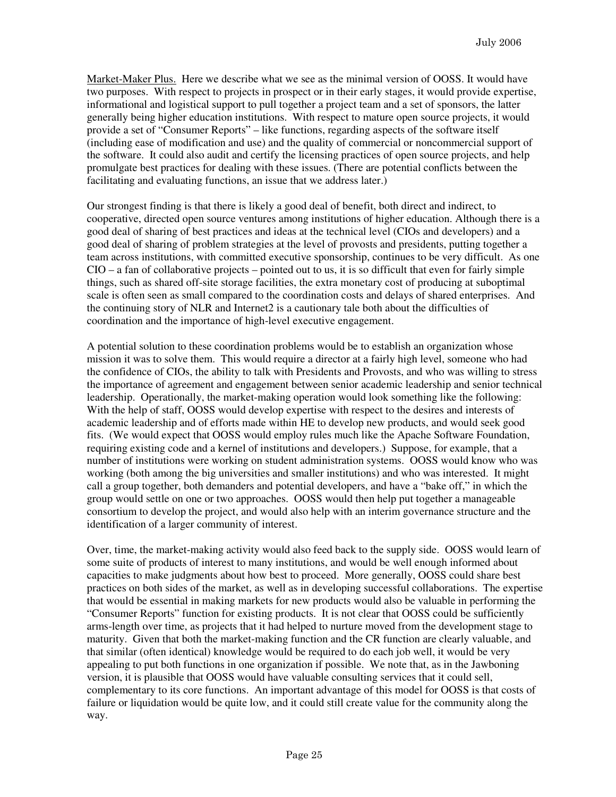Market-Maker Plus. Here we describe what we see as the minimal version of OOSS. It would have two purposes. With respect to projects in prospect or in their early stages, it would provide expertise, informational and logistical support to pull together a project team and a set of sponsors, the latter generally being higher education institutions. With respect to mature open source projects, it would provide a set of "Consumer Reports" – like functions, regarding aspects of the software itself (including ease of modification and use) and the quality of commercial or noncommercial support of the software. It could also audit and certify the licensing practices of open source projects, and help promulgate best practices for dealing with these issues. (There are potential conflicts between the facilitating and evaluating functions, an issue that we address later.)

Our strongest finding is that there is likely a good deal of benefit, both direct and indirect, to cooperative, directed open source ventures among institutions of higher education. Although there is a good deal of sharing of best practices and ideas at the technical level (CIOs and developers) and a good deal of sharing of problem strategies at the level of provosts and presidents, putting together a team across institutions, with committed executive sponsorship, continues to be very difficult. As one  $CIO - a$  fan of collaborative projects – pointed out to us, it is so difficult that even for fairly simple things, such as shared off-site storage facilities, the extra monetary cost of producing at suboptimal scale is often seen as small compared to the coordination costs and delays of shared enterprises. And the continuing story of NLR and Internet2 is a cautionary tale both about the difficulties of coordination and the importance of high-level executive engagement.

A potential solution to these coordination problems would be to establish an organization whose mission it was to solve them. This would require a director at a fairly high level, someone who had the confidence of CIOs, the ability to talk with Presidents and Provosts, and who was willing to stress the importance of agreement and engagement between senior academic leadership and senior technical leadership. Operationally, the market-making operation would look something like the following: With the help of staff, OOSS would develop expertise with respect to the desires and interests of academic leadership and of efforts made within HE to develop new products, and would seek good fits. (We would expect that OOSS would employ rules much like the Apache Software Foundation, requiring existing code and a kernel of institutions and developers.) Suppose, for example, that a number of institutions were working on student administration systems. OOSS would know who was working (both among the big universities and smaller institutions) and who was interested. It might call a group together, both demanders and potential developers, and have a "bake off," in which the group would settle on one or two approaches. OOSS would then help put together a manageable consortium to develop the project, and would also help with an interim governance structure and the identification of a larger community of interest.

Over, time, the market-making activity would also feed back to the supply side. OOSS would learn of some suite of products of interest to many institutions, and would be well enough informed about capacities to make judgments about how best to proceed. More generally, OOSS could share best practices on both sides of the market, as well as in developing successful collaborations. The expertise that would be essential in making markets for new products would also be valuable in performing the "Consumer Reports" function for existing products. It is not clear that OOSS could be sufficiently arms-length over time, as projects that it had helped to nurture moved from the development stage to maturity. Given that both the market-making function and the CR function are clearly valuable, and that similar (often identical) knowledge would be required to do each job well, it would be very appealing to put both functions in one organization if possible. We note that, as in the Jawboning version, it is plausible that OOSS would have valuable consulting services that it could sell, complementary to its core functions. An important advantage of this model for OOSS is that costs of failure or liquidation would be quite low, and it could still create value for the community along the way.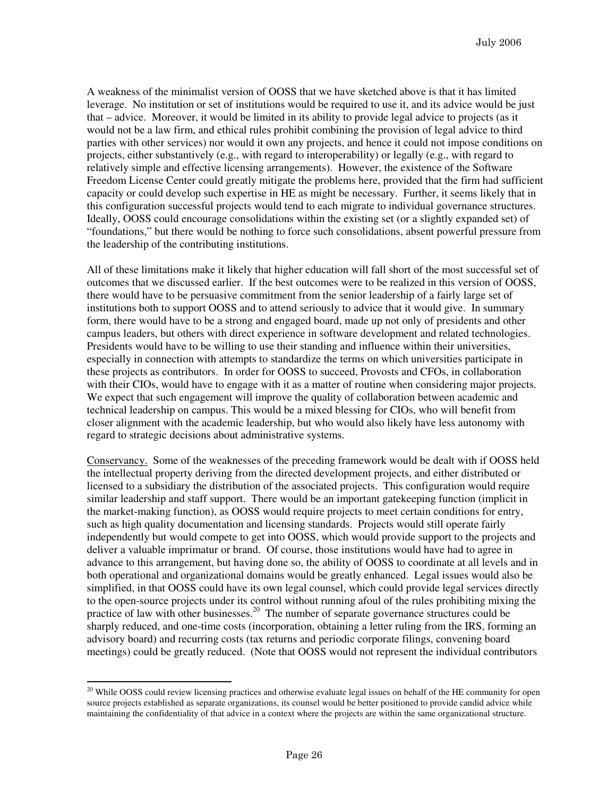A weakness of the minimalist version of OOSS that we have sketched above is that it has limited leverage. No institution or set of institutions would be required to use it, and its advice would be just that – advice. Moreover, it would be limited in its ability to provide legal advice to projects (as it would not be a law firm, and ethical rules prohibit combining the provision of legal advice to third parties with other services) nor would it own any projects, and hence it could not impose conditions on projects, either substantively (e.g., with regard to interoperability) or legally (e.g., with regard to relatively simple and effective licensing arrangements). However, the existence of the Software Freedom License Center could greatly mitigate the problems here, provided that the firm had sufficient capacity or could develop such expertise in HE as might be necessary. Further, it seems likely that in this configuration successful projects would tend to each migrate to individual governance structures. Ideally, OOSS could encourage consolidations within the existing set (or a slightly expanded set) of "foundations," but there would be nothing to force such consolidations, absent powerful pressure from the leadership of the contributing institutions.

All of these limitations make it likely that higher education will fall short of the most successful set of outcomes that we discussed earlier. If the best outcomes were to be realized in this version of OOSS, there would have to be persuasive commitment from the senior leadership of a fairly large set of institutions both to support OOSS and to attend seriously to advice that it would give. In summary form, there would have to be a strong and engaged board, made up not only of presidents and other campus leaders, but others with direct experience in software development and related technologies. Presidents would have to be willing to use their standing and influence within their universities, especially in connection with attempts to standardize the terms on which universities participate in these projects as contributors. In order for OOSS to succeed, Provosts and CFOs, in collaboration with their CIOs, would have to engage with it as a matter of routine when considering major projects. We expect that such engagement will improve the quality of collaboration between academic and technical leadership on campus. This would be a mixed blessing for CIOs, who will benefit from closer alignment with the academic leadership, but who would also likely have less autonomy with regard to strategic decisions about administrative systems.

Conservancy. Some of the weaknesses of the preceding framework would be dealt with if OOSS held the intellectual property deriving from the directed development projects, and either distributed or licensed to a subsidiary the distribution of the associated projects. This configuration would require similar leadership and staff support. There would be an important gatekeeping function (implicit in the market-making function), as OOSS would require projects to meet certain conditions for entry, such as high quality documentation and licensing standards. Projects would still operate fairly independently but would compete to get into OOSS, which would provide support to the projects and deliver a valuable imprimatur or brand. Of course, those institutions would have had to agree in advance to this arrangement, but having done so, the ability of OOSS to coordinate at all levels and in both operational and organizational domains would be greatly enhanced. Legal issues would also be simplified, in that OOSS could have its own legal counsel, which could provide legal services directly to the open-source projects under its control without running afoul of the rules prohibiting mixing the practice of law with other businesses.<sup>20</sup> The number of separate governance structures could be sharply reduced, and one-time costs (incorporation, obtaining a letter ruling from the IRS, forming an advisory board) and recurring costs (tax returns and periodic corporate filings, convening board meetings) could be greatly reduced. (Note that OOSS would not represent the individual contributors

l

 $20$  While OOSS could review licensing practices and otherwise evaluate legal issues on behalf of the HE community for open source projects established as separate organizations, its counsel would be better positioned to provide candid advice while maintaining the confidentiality of that advice in a context where the projects are within the same organizational structure.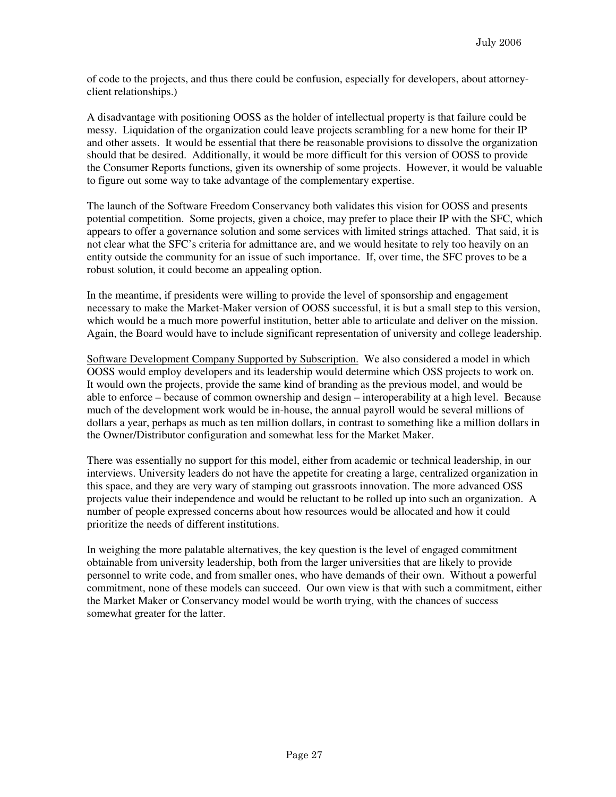of code to the projects, and thus there could be confusion, especially for developers, about attorneyclient relationships.)

A disadvantage with positioning OOSS as the holder of intellectual property is that failure could be messy. Liquidation of the organization could leave projects scrambling for a new home for their IP and other assets. It would be essential that there be reasonable provisions to dissolve the organization should that be desired. Additionally, it would be more difficult for this version of OOSS to provide the Consumer Reports functions, given its ownership of some projects. However, it would be valuable to figure out some way to take advantage of the complementary expertise.

The launch of the Software Freedom Conservancy both validates this vision for OOSS and presents potential competition. Some projects, given a choice, may prefer to place their IP with the SFC, which appears to offer a governance solution and some services with limited strings attached. That said, it is not clear what the SFC's criteria for admittance are, and we would hesitate to rely too heavily on an entity outside the community for an issue of such importance. If, over time, the SFC proves to be a robust solution, it could become an appealing option.

In the meantime, if presidents were willing to provide the level of sponsorship and engagement necessary to make the Market-Maker version of OOSS successful, it is but a small step to this version, which would be a much more powerful institution, better able to articulate and deliver on the mission. Again, the Board would have to include significant representation of university and college leadership.

Software Development Company Supported by Subscription. We also considered a model in which OOSS would employ developers and its leadership would determine which OSS projects to work on. It would own the projects, provide the same kind of branding as the previous model, and would be able to enforce – because of common ownership and design – interoperability at a high level. Because much of the development work would be in-house, the annual payroll would be several millions of dollars a year, perhaps as much as ten million dollars, in contrast to something like a million dollars in the Owner/Distributor configuration and somewhat less for the Market Maker.

There was essentially no support for this model, either from academic or technical leadership, in our interviews. University leaders do not have the appetite for creating a large, centralized organization in this space, and they are very wary of stamping out grassroots innovation. The more advanced OSS projects value their independence and would be reluctant to be rolled up into such an organization. A number of people expressed concerns about how resources would be allocated and how it could prioritize the needs of different institutions.

In weighing the more palatable alternatives, the key question is the level of engaged commitment obtainable from university leadership, both from the larger universities that are likely to provide personnel to write code, and from smaller ones, who have demands of their own. Without a powerful commitment, none of these models can succeed. Our own view is that with such a commitment, either the Market Maker or Conservancy model would be worth trying, with the chances of success somewhat greater for the latter.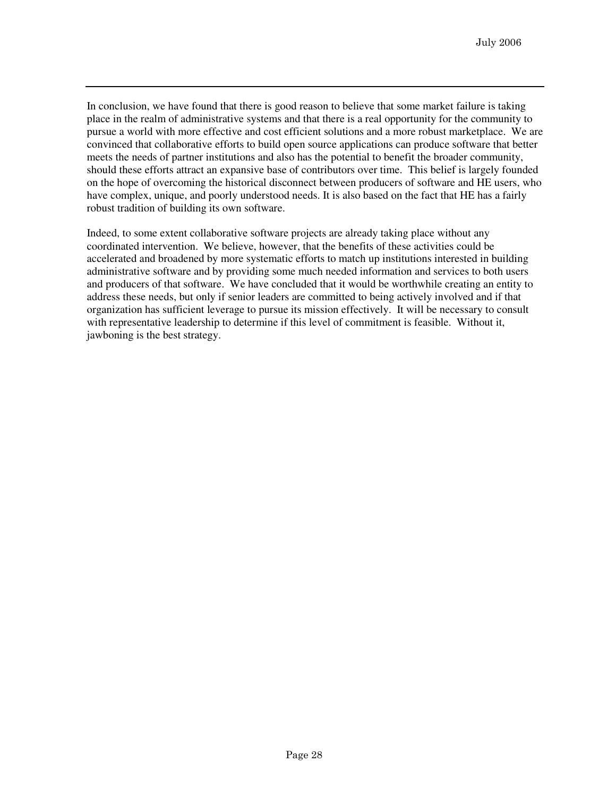In conclusion, we have found that there is good reason to believe that some market failure is taking place in the realm of administrative systems and that there is a real opportunity for the community to pursue a world with more effective and cost efficient solutions and a more robust marketplace. We are convinced that collaborative efforts to build open source applications can produce software that better meets the needs of partner institutions and also has the potential to benefit the broader community, should these efforts attract an expansive base of contributors over time. This belief is largely founded on the hope of overcoming the historical disconnect between producers of software and HE users, who have complex, unique, and poorly understood needs. It is also based on the fact that HE has a fairly robust tradition of building its own software.

Indeed, to some extent collaborative software projects are already taking place without any coordinated intervention. We believe, however, that the benefits of these activities could be accelerated and broadened by more systematic efforts to match up institutions interested in building administrative software and by providing some much needed information and services to both users and producers of that software. We have concluded that it would be worthwhile creating an entity to address these needs, but only if senior leaders are committed to being actively involved and if that organization has sufficient leverage to pursue its mission effectively. It will be necessary to consult with representative leadership to determine if this level of commitment is feasible. Without it, jawboning is the best strategy.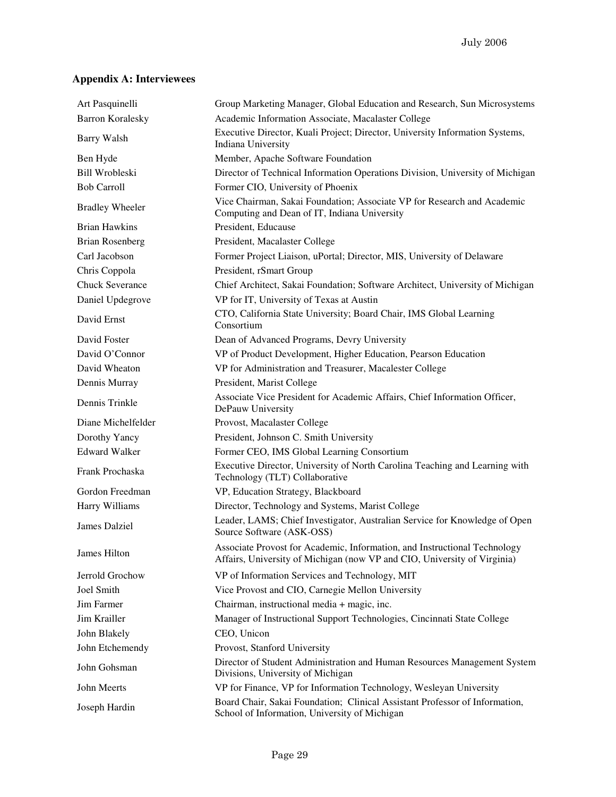## **Appendix A: Interviewees**

| Art Pasquinelli         | Group Marketing Manager, Global Education and Research, Sun Microsystems                                                                              |
|-------------------------|-------------------------------------------------------------------------------------------------------------------------------------------------------|
| <b>Barron Koralesky</b> | Academic Information Associate, Macalaster College                                                                                                    |
| <b>Barry Walsh</b>      | Executive Director, Kuali Project; Director, University Information Systems,<br>Indiana University                                                    |
| Ben Hyde                | Member, Apache Software Foundation                                                                                                                    |
| <b>Bill Wrobleski</b>   | Director of Technical Information Operations Division, University of Michigan                                                                         |
| <b>Bob Carroll</b>      | Former CIO, University of Phoenix                                                                                                                     |
| <b>Bradley Wheeler</b>  | Vice Chairman, Sakai Foundation; Associate VP for Research and Academic<br>Computing and Dean of IT, Indiana University                               |
| Brian Hawkins           | President, Educause                                                                                                                                   |
| <b>Brian Rosenberg</b>  | President, Macalaster College                                                                                                                         |
| Carl Jacobson           | Former Project Liaison, uPortal; Director, MIS, University of Delaware                                                                                |
| Chris Coppola           | President, rSmart Group                                                                                                                               |
| <b>Chuck Severance</b>  | Chief Architect, Sakai Foundation; Software Architect, University of Michigan                                                                         |
| Daniel Updegrove        | VP for IT, University of Texas at Austin                                                                                                              |
| David Ernst             | CTO, California State University; Board Chair, IMS Global Learning<br>Consortium                                                                      |
| David Foster            | Dean of Advanced Programs, Devry University                                                                                                           |
| David O'Connor          | VP of Product Development, Higher Education, Pearson Education                                                                                        |
| David Wheaton           | VP for Administration and Treasurer, Macalester College                                                                                               |
| Dennis Murray           | President, Marist College                                                                                                                             |
| Dennis Trinkle          | Associate Vice President for Academic Affairs, Chief Information Officer,<br>DePauw University                                                        |
| Diane Michelfelder      | Provost, Macalaster College                                                                                                                           |
| Dorothy Yancy           | President, Johnson C. Smith University                                                                                                                |
| <b>Edward Walker</b>    | Former CEO, IMS Global Learning Consortium                                                                                                            |
| Frank Prochaska         | Executive Director, University of North Carolina Teaching and Learning with<br>Technology (TLT) Collaborative                                         |
| Gordon Freedman         | VP, Education Strategy, Blackboard                                                                                                                    |
| Harry Williams          | Director, Technology and Systems, Marist College                                                                                                      |
| James Dalziel           | Leader, LAMS; Chief Investigator, Australian Service for Knowledge of Open<br>Source Software (ASK-OSS)                                               |
| James Hilton            | Associate Provost for Academic, Information, and Instructional Technology<br>Affairs, University of Michigan (now VP and CIO, University of Virginia) |
| Jerrold Grochow         | VP of Information Services and Technology, MIT                                                                                                        |
| Joel Smith              | Vice Provost and CIO, Carnegie Mellon University                                                                                                      |
| Jim Farmer              | Chairman, instructional media + magic, inc.                                                                                                           |
| Jim Krailler            | Manager of Instructional Support Technologies, Cincinnati State College                                                                               |
| John Blakely            | CEO, Unicon                                                                                                                                           |
| John Etchemendy         | Provost, Stanford University                                                                                                                          |
| John Gohsman            | Director of Student Administration and Human Resources Management System<br>Divisions, University of Michigan                                         |
| John Meerts             | VP for Finance, VP for Information Technology, Wesleyan University                                                                                    |
| Joseph Hardin           | Board Chair, Sakai Foundation; Clinical Assistant Professor of Information,<br>School of Information, University of Michigan                          |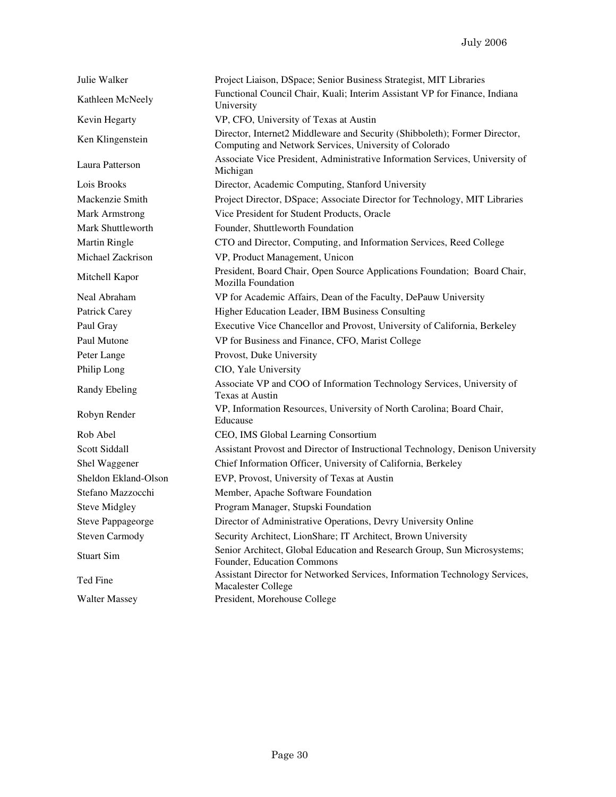| Julie Walker          | Project Liaison, DSpace; Senior Business Strategist, MIT Libraries                                                                   |
|-----------------------|--------------------------------------------------------------------------------------------------------------------------------------|
| Kathleen McNeely      | Functional Council Chair, Kuali; Interim Assistant VP for Finance, Indiana<br>University                                             |
| Kevin Hegarty         | VP, CFO, University of Texas at Austin                                                                                               |
| Ken Klingenstein      | Director, Internet2 Middleware and Security (Shibboleth); Former Director,<br>Computing and Network Services, University of Colorado |
| Laura Patterson       | Associate Vice President, Administrative Information Services, University of<br>Michigan                                             |
| Lois Brooks           | Director, Academic Computing, Stanford University                                                                                    |
| Mackenzie Smith       | Project Director, DSpace; Associate Director for Technology, MIT Libraries                                                           |
| Mark Armstrong        | Vice President for Student Products, Oracle                                                                                          |
| Mark Shuttleworth     | Founder, Shuttleworth Foundation                                                                                                     |
| Martin Ringle         | CTO and Director, Computing, and Information Services, Reed College                                                                  |
| Michael Zackrison     | VP, Product Management, Unicon                                                                                                       |
| Mitchell Kapor        | President, Board Chair, Open Source Applications Foundation; Board Chair,<br><b>Mozilla Foundation</b>                               |
| Neal Abraham          | VP for Academic Affairs, Dean of the Faculty, DePauw University                                                                      |
| Patrick Carey         | Higher Education Leader, IBM Business Consulting                                                                                     |
| Paul Gray             | Executive Vice Chancellor and Provost, University of California, Berkeley                                                            |
| Paul Mutone           | VP for Business and Finance, CFO, Marist College                                                                                     |
| Peter Lange           | Provost, Duke University                                                                                                             |
| Philip Long           | CIO, Yale University                                                                                                                 |
| Randy Ebeling         | Associate VP and COO of Information Technology Services, University of<br><b>Texas at Austin</b>                                     |
| Robyn Render          | VP, Information Resources, University of North Carolina; Board Chair,<br>Educause                                                    |
| Rob Abel              | CEO, IMS Global Learning Consortium                                                                                                  |
| Scott Siddall         | Assistant Provost and Director of Instructional Technology, Denison University                                                       |
| Shel Waggener         | Chief Information Officer, University of California, Berkeley                                                                        |
| Sheldon Ekland-Olson  | EVP, Provost, University of Texas at Austin                                                                                          |
| Stefano Mazzocchi     | Member, Apache Software Foundation                                                                                                   |
| <b>Steve Midgley</b>  | Program Manager, Stupski Foundation                                                                                                  |
| Steve Pappageorge     | Director of Administrative Operations, Devry University Online                                                                       |
| <b>Steven Carmody</b> | Security Architect, LionShare; IT Architect, Brown University                                                                        |
| <b>Stuart Sim</b>     | Senior Architect, Global Education and Research Group, Sun Microsystems;<br>Founder, Education Commons                               |
| Ted Fine              | Assistant Director for Networked Services, Information Technology Services,<br>Macalester College                                    |
| <b>Walter Massey</b>  | President, Morehouse College                                                                                                         |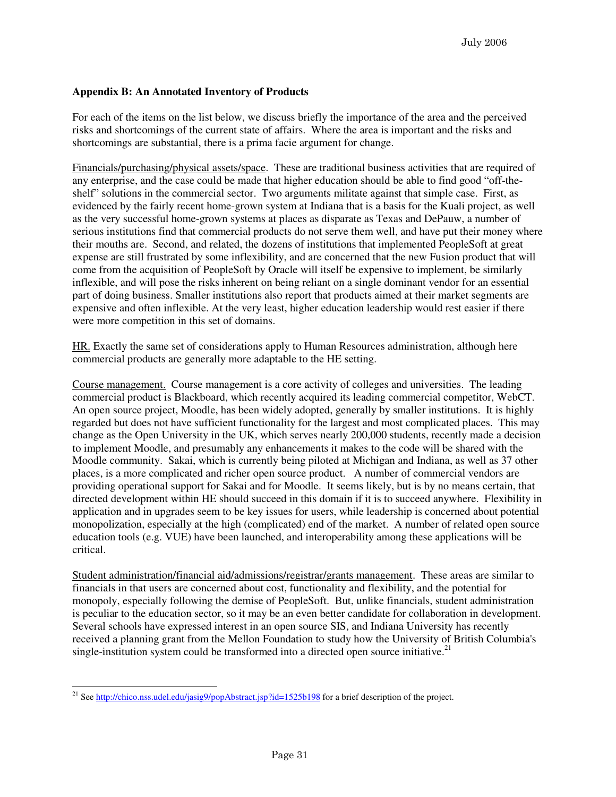## **Appendix B: An Annotated Inventory of Products**

For each of the items on the list below, we discuss briefly the importance of the area and the perceived risks and shortcomings of the current state of affairs. Where the area is important and the risks and shortcomings are substantial, there is a prima facie argument for change.

Financials/purchasing/physical assets/space. These are traditional business activities that are required of any enterprise, and the case could be made that higher education should be able to find good "off-theshelf" solutions in the commercial sector. Two arguments militate against that simple case. First, as evidenced by the fairly recent home-grown system at Indiana that is a basis for the Kuali project, as well as the very successful home-grown systems at places as disparate as Texas and DePauw, a number of serious institutions find that commercial products do not serve them well, and have put their money where their mouths are. Second, and related, the dozens of institutions that implemented PeopleSoft at great expense are still frustrated by some inflexibility, and are concerned that the new Fusion product that will come from the acquisition of PeopleSoft by Oracle will itself be expensive to implement, be similarly inflexible, and will pose the risks inherent on being reliant on a single dominant vendor for an essential part of doing business. Smaller institutions also report that products aimed at their market segments are expensive and often inflexible. At the very least, higher education leadership would rest easier if there were more competition in this set of domains.

HR. Exactly the same set of considerations apply to Human Resources administration, although here commercial products are generally more adaptable to the HE setting.

Course management. Course management is a core activity of colleges and universities. The leading commercial product is Blackboard, which recently acquired its leading commercial competitor, WebCT. An open source project, Moodle, has been widely adopted, generally by smaller institutions. It is highly regarded but does not have sufficient functionality for the largest and most complicated places. This may change as the Open University in the UK, which serves nearly 200,000 students, recently made a decision to implement Moodle, and presumably any enhancements it makes to the code will be shared with the Moodle community. Sakai, which is currently being piloted at Michigan and Indiana, as well as 37 other places, is a more complicated and richer open source product. A number of commercial vendors are providing operational support for Sakai and for Moodle. It seems likely, but is by no means certain, that directed development within HE should succeed in this domain if it is to succeed anywhere. Flexibility in application and in upgrades seem to be key issues for users, while leadership is concerned about potential monopolization, especially at the high (complicated) end of the market. A number of related open source education tools (e.g. VUE) have been launched, and interoperability among these applications will be critical.

Student administration/financial aid/admissions/registrar/grants management. These areas are similar to financials in that users are concerned about cost, functionality and flexibility, and the potential for monopoly, especially following the demise of PeopleSoft. But, unlike financials, student administration is peculiar to the education sector, so it may be an even better candidate for collaboration in development. Several schools have expressed interest in an open source SIS, and Indiana University has recently received a planning grant from the Mellon Foundation to study how the University of British Columbia's single-institution system could be transformed into a directed open source initiative.<sup>21</sup>

 $\overline{a}$ <sup>21</sup> See http://chico.nss.udel.edu/jasig9/popAbstract.jsp?id=1525b198 for a brief description of the project.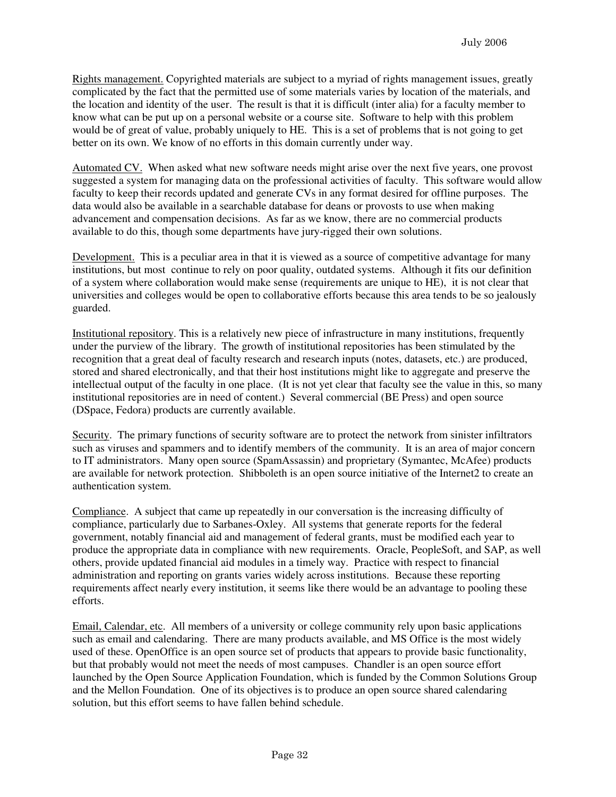Rights management. Copyrighted materials are subject to a myriad of rights management issues, greatly complicated by the fact that the permitted use of some materials varies by location of the materials, and the location and identity of the user. The result is that it is difficult (inter alia) for a faculty member to know what can be put up on a personal website or a course site. Software to help with this problem would be of great of value, probably uniquely to HE. This is a set of problems that is not going to get better on its own. We know of no efforts in this domain currently under way.

Automated CV. When asked what new software needs might arise over the next five years, one provost suggested a system for managing data on the professional activities of faculty. This software would allow faculty to keep their records updated and generate CVs in any format desired for offline purposes. The data would also be available in a searchable database for deans or provosts to use when making advancement and compensation decisions. As far as we know, there are no commercial products available to do this, though some departments have jury-rigged their own solutions.

Development. This is a peculiar area in that it is viewed as a source of competitive advantage for many institutions, but most continue to rely on poor quality, outdated systems. Although it fits our definition of a system where collaboration would make sense (requirements are unique to HE), it is not clear that universities and colleges would be open to collaborative efforts because this area tends to be so jealously guarded.

Institutional repository. This is a relatively new piece of infrastructure in many institutions, frequently under the purview of the library. The growth of institutional repositories has been stimulated by the recognition that a great deal of faculty research and research inputs (notes, datasets, etc.) are produced, stored and shared electronically, and that their host institutions might like to aggregate and preserve the intellectual output of the faculty in one place. (It is not yet clear that faculty see the value in this, so many institutional repositories are in need of content.) Several commercial (BE Press) and open source (DSpace, Fedora) products are currently available.

Security. The primary functions of security software are to protect the network from sinister infiltrators such as viruses and spammers and to identify members of the community. It is an area of major concern to IT administrators. Many open source (SpamAssassin) and proprietary (Symantec, McAfee) products are available for network protection. Shibboleth is an open source initiative of the Internet2 to create an authentication system.

Compliance. A subject that came up repeatedly in our conversation is the increasing difficulty of compliance, particularly due to Sarbanes-Oxley. All systems that generate reports for the federal government, notably financial aid and management of federal grants, must be modified each year to produce the appropriate data in compliance with new requirements. Oracle, PeopleSoft, and SAP, as well others, provide updated financial aid modules in a timely way. Practice with respect to financial administration and reporting on grants varies widely across institutions. Because these reporting requirements affect nearly every institution, it seems like there would be an advantage to pooling these efforts.

Email, Calendar, etc. All members of a university or college community rely upon basic applications such as email and calendaring. There are many products available, and MS Office is the most widely used of these. OpenOffice is an open source set of products that appears to provide basic functionality, but that probably would not meet the needs of most campuses. Chandler is an open source effort launched by the Open Source Application Foundation, which is funded by the Common Solutions Group and the Mellon Foundation. One of its objectives is to produce an open source shared calendaring solution, but this effort seems to have fallen behind schedule.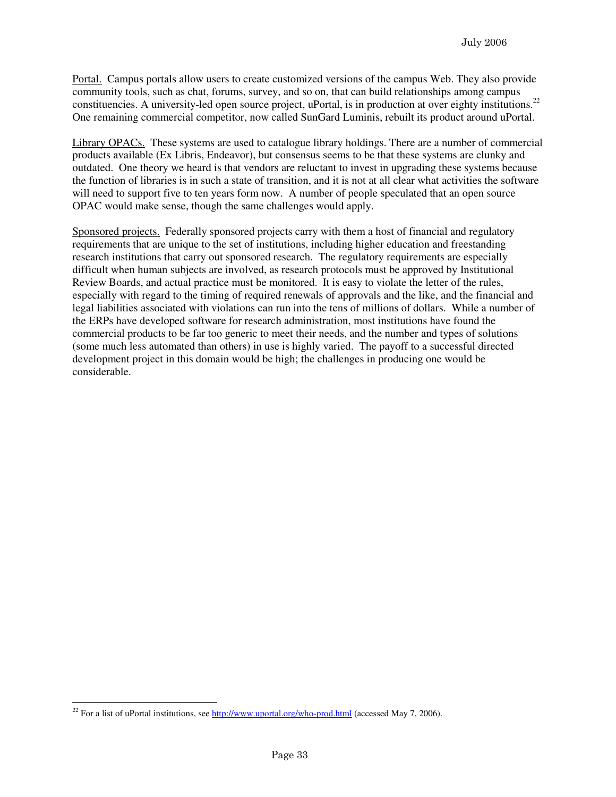Portal. Campus portals allow users to create customized versions of the campus Web. They also provide community tools, such as chat, forums, survey, and so on, that can build relationships among campus constituencies. A university-led open source project, uPortal, is in production at over eighty institutions.<sup>22</sup> One remaining commercial competitor, now called SunGard Luminis, rebuilt its product around uPortal.

Library OPACs. These systems are used to catalogue library holdings. There are a number of commercial products available (Ex Libris, Endeavor), but consensus seems to be that these systems are clunky and outdated. One theory we heard is that vendors are reluctant to invest in upgrading these systems because the function of libraries is in such a state of transition, and it is not at all clear what activities the software will need to support five to ten years form now. A number of people speculated that an open source OPAC would make sense, though the same challenges would apply.

Sponsored projects. Federally sponsored projects carry with them a host of financial and regulatory requirements that are unique to the set of institutions, including higher education and freestanding research institutions that carry out sponsored research. The regulatory requirements are especially difficult when human subjects are involved, as research protocols must be approved by Institutional Review Boards, and actual practice must be monitored. It is easy to violate the letter of the rules, especially with regard to the timing of required renewals of approvals and the like, and the financial and legal liabilities associated with violations can run into the tens of millions of dollars. While a number of the ERPs have developed software for research administration, most institutions have found the commercial products to be far too generic to meet their needs, and the number and types of solutions (some much less automated than others) in use is highly varied. The payoff to a successful directed development project in this domain would be high; the challenges in producing one would be considerable.

 $\overline{a}$ <sup>22</sup> For a list of uPortal institutions, see http://www.uportal.org/who-prod.html (accessed May 7, 2006).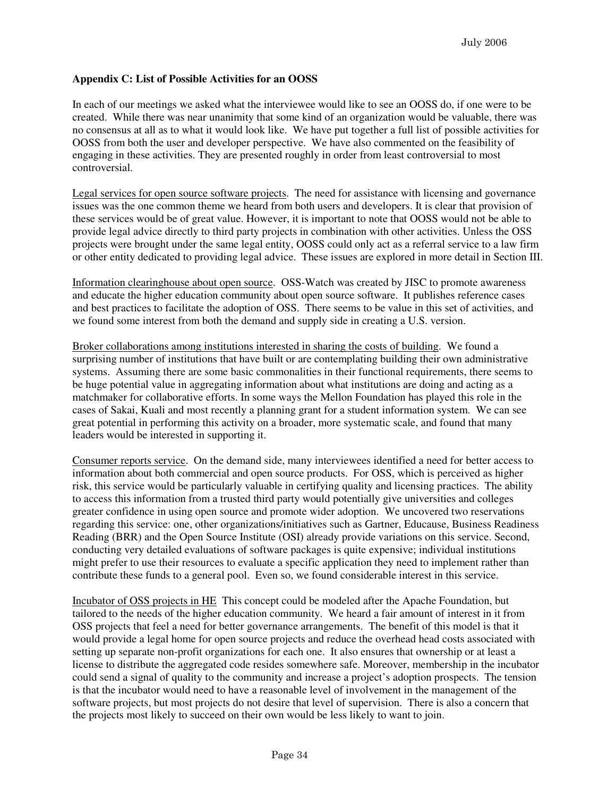#### **Appendix C: List of Possible Activities for an OOSS**

In each of our meetings we asked what the interviewee would like to see an OOSS do, if one were to be created. While there was near unanimity that some kind of an organization would be valuable, there was no consensus at all as to what it would look like. We have put together a full list of possible activities for OOSS from both the user and developer perspective. We have also commented on the feasibility of engaging in these activities. They are presented roughly in order from least controversial to most controversial.

Legal services for open source software projects. The need for assistance with licensing and governance issues was the one common theme we heard from both users and developers. It is clear that provision of these services would be of great value. However, it is important to note that OOSS would not be able to provide legal advice directly to third party projects in combination with other activities. Unless the OSS projects were brought under the same legal entity, OOSS could only act as a referral service to a law firm or other entity dedicated to providing legal advice. These issues are explored in more detail in Section III.

Information clearinghouse about open source. OSS-Watch was created by JISC to promote awareness and educate the higher education community about open source software. It publishes reference cases and best practices to facilitate the adoption of OSS. There seems to be value in this set of activities, and we found some interest from both the demand and supply side in creating a U.S. version.

Broker collaborations among institutions interested in sharing the costs of building. We found a surprising number of institutions that have built or are contemplating building their own administrative systems. Assuming there are some basic commonalities in their functional requirements, there seems to be huge potential value in aggregating information about what institutions are doing and acting as a matchmaker for collaborative efforts. In some ways the Mellon Foundation has played this role in the cases of Sakai, Kuali and most recently a planning grant for a student information system. We can see great potential in performing this activity on a broader, more systematic scale, and found that many leaders would be interested in supporting it.

Consumer reports service. On the demand side, many interviewees identified a need for better access to information about both commercial and open source products. For OSS, which is perceived as higher risk, this service would be particularly valuable in certifying quality and licensing practices. The ability to access this information from a trusted third party would potentially give universities and colleges greater confidence in using open source and promote wider adoption. We uncovered two reservations regarding this service: one, other organizations/initiatives such as Gartner, Educause, Business Readiness Reading (BRR) and the Open Source Institute (OSI) already provide variations on this service. Second, conducting very detailed evaluations of software packages is quite expensive; individual institutions might prefer to use their resources to evaluate a specific application they need to implement rather than contribute these funds to a general pool. Even so, we found considerable interest in this service.

Incubator of OSS projects in HE This concept could be modeled after the Apache Foundation, but tailored to the needs of the higher education community. We heard a fair amount of interest in it from OSS projects that feel a need for better governance arrangements. The benefit of this model is that it would provide a legal home for open source projects and reduce the overhead head costs associated with setting up separate non-profit organizations for each one. It also ensures that ownership or at least a license to distribute the aggregated code resides somewhere safe. Moreover, membership in the incubator could send a signal of quality to the community and increase a project's adoption prospects. The tension is that the incubator would need to have a reasonable level of involvement in the management of the software projects, but most projects do not desire that level of supervision. There is also a concern that the projects most likely to succeed on their own would be less likely to want to join.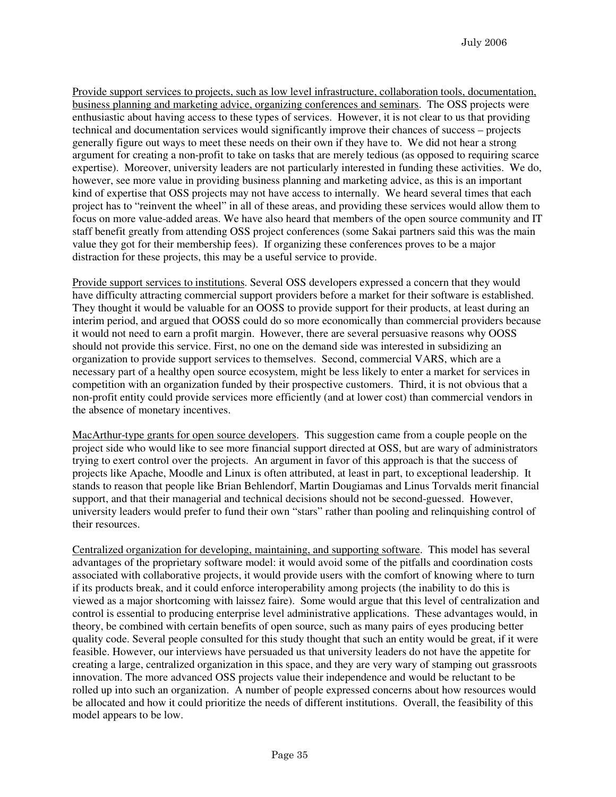Provide support services to projects, such as low level infrastructure, collaboration tools, documentation, business planning and marketing advice, organizing conferences and seminars. The OSS projects were enthusiastic about having access to these types of services. However, it is not clear to us that providing technical and documentation services would significantly improve their chances of success – projects generally figure out ways to meet these needs on their own if they have to. We did not hear a strong argument for creating a non-profit to take on tasks that are merely tedious (as opposed to requiring scarce expertise). Moreover, university leaders are not particularly interested in funding these activities. We do, however, see more value in providing business planning and marketing advice, as this is an important kind of expertise that OSS projects may not have access to internally. We heard several times that each project has to "reinvent the wheel" in all of these areas, and providing these services would allow them to focus on more value-added areas. We have also heard that members of the open source community and IT staff benefit greatly from attending OSS project conferences (some Sakai partners said this was the main value they got for their membership fees). If organizing these conferences proves to be a major distraction for these projects, this may be a useful service to provide.

Provide support services to institutions. Several OSS developers expressed a concern that they would have difficulty attracting commercial support providers before a market for their software is established. They thought it would be valuable for an OOSS to provide support for their products, at least during an interim period, and argued that OOSS could do so more economically than commercial providers because it would not need to earn a profit margin. However, there are several persuasive reasons why OOSS should not provide this service. First, no one on the demand side was interested in subsidizing an organization to provide support services to themselves. Second, commercial VARS, which are a necessary part of a healthy open source ecosystem, might be less likely to enter a market for services in competition with an organization funded by their prospective customers. Third, it is not obvious that a non-profit entity could provide services more efficiently (and at lower cost) than commercial vendors in the absence of monetary incentives.

MacArthur-type grants for open source developers. This suggestion came from a couple people on the project side who would like to see more financial support directed at OSS, but are wary of administrators trying to exert control over the projects. An argument in favor of this approach is that the success of projects like Apache, Moodle and Linux is often attributed, at least in part, to exceptional leadership. It stands to reason that people like Brian Behlendorf, Martin Dougiamas and Linus Torvalds merit financial support, and that their managerial and technical decisions should not be second-guessed. However, university leaders would prefer to fund their own "stars" rather than pooling and relinquishing control of their resources.

Centralized organization for developing, maintaining, and supporting software. This model has several advantages of the proprietary software model: it would avoid some of the pitfalls and coordination costs associated with collaborative projects, it would provide users with the comfort of knowing where to turn if its products break, and it could enforce interoperability among projects (the inability to do this is viewed as a major shortcoming with laissez faire). Some would argue that this level of centralization and control is essential to producing enterprise level administrative applications. These advantages would, in theory, be combined with certain benefits of open source, such as many pairs of eyes producing better quality code. Several people consulted for this study thought that such an entity would be great, if it were feasible. However, our interviews have persuaded us that university leaders do not have the appetite for creating a large, centralized organization in this space, and they are very wary of stamping out grassroots innovation. The more advanced OSS projects value their independence and would be reluctant to be rolled up into such an organization. A number of people expressed concerns about how resources would be allocated and how it could prioritize the needs of different institutions. Overall, the feasibility of this model appears to be low.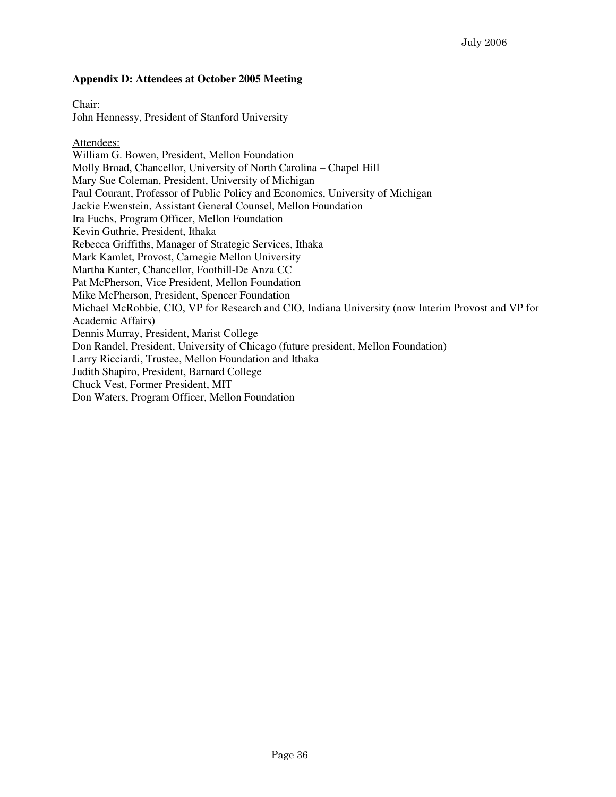#### **Appendix D: Attendees at October 2005 Meeting**

Chair: John Hennessy, President of Stanford University

Attendees: William G. Bowen, President, Mellon Foundation Molly Broad, Chancellor, University of North Carolina – Chapel Hill Mary Sue Coleman, President, University of Michigan Paul Courant, Professor of Public Policy and Economics, University of Michigan Jackie Ewenstein, Assistant General Counsel, Mellon Foundation Ira Fuchs, Program Officer, Mellon Foundation Kevin Guthrie, President, Ithaka Rebecca Griffiths, Manager of Strategic Services, Ithaka Mark Kamlet, Provost, Carnegie Mellon University Martha Kanter, Chancellor, Foothill-De Anza CC Pat McPherson, Vice President, Mellon Foundation Mike McPherson, President, Spencer Foundation Michael McRobbie, CIO, VP for Research and CIO, Indiana University (now Interim Provost and VP for Academic Affairs) Dennis Murray, President, Marist College Don Randel, President, University of Chicago (future president, Mellon Foundation) Larry Ricciardi, Trustee, Mellon Foundation and Ithaka Judith Shapiro, President, Barnard College Chuck Vest, Former President, MIT Don Waters, Program Officer, Mellon Foundation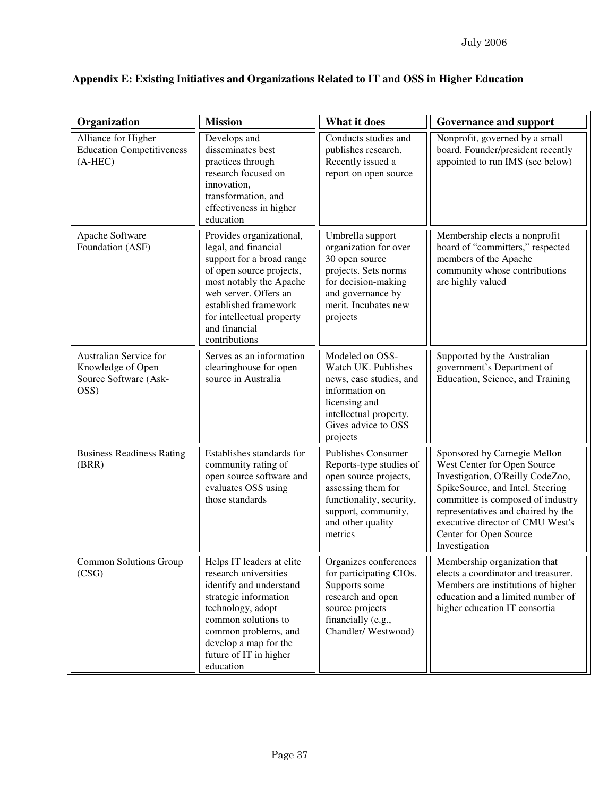| Organization                                                                 | <b>Mission</b>                                                                                                                                                                                                                                        | What it does                                                                                                                                                                    | <b>Governance and support</b>                                                                                                                                                                                                                                                                 |
|------------------------------------------------------------------------------|-------------------------------------------------------------------------------------------------------------------------------------------------------------------------------------------------------------------------------------------------------|---------------------------------------------------------------------------------------------------------------------------------------------------------------------------------|-----------------------------------------------------------------------------------------------------------------------------------------------------------------------------------------------------------------------------------------------------------------------------------------------|
| Alliance for Higher<br><b>Education Competitiveness</b><br>$(A-HEC)$         | Develops and<br>disseminates best<br>practices through<br>research focused on<br>innovation,<br>transformation, and<br>effectiveness in higher<br>education                                                                                           | Conducts studies and<br>publishes research.<br>Recently issued a<br>report on open source                                                                                       | Nonprofit, governed by a small<br>board. Founder/president recently<br>appointed to run IMS (see below)                                                                                                                                                                                       |
| Apache Software<br>Foundation (ASF)                                          | Provides organizational,<br>legal, and financial<br>support for a broad range<br>of open source projects,<br>most notably the Apache<br>web server. Offers an<br>established framework<br>for intellectual property<br>and financial<br>contributions | Umbrella support<br>organization for over<br>30 open source<br>projects. Sets norms<br>for decision-making<br>and governance by<br>merit. Incubates new<br>projects             | Membership elects a nonprofit<br>board of "committers," respected<br>members of the Apache<br>community whose contributions<br>are highly valued                                                                                                                                              |
| Australian Service for<br>Knowledge of Open<br>Source Software (Ask-<br>OSS) | Serves as an information<br>clearinghouse for open<br>source in Australia                                                                                                                                                                             | Modeled on OSS-<br>Watch UK. Publishes<br>news, case studies, and<br>information on<br>licensing and<br>intellectual property.<br>Gives advice to OSS<br>projects               | Supported by the Australian<br>government's Department of<br>Education, Science, and Training                                                                                                                                                                                                 |
| <b>Business Readiness Rating</b><br>(BRR)                                    | Establishes standards for<br>community rating of<br>open source software and<br>evaluates OSS using<br>those standards                                                                                                                                | Publishes Consumer<br>Reports-type studies of<br>open source projects,<br>assessing them for<br>functionality, security,<br>support, community,<br>and other quality<br>metrics | Sponsored by Carnegie Mellon<br>West Center for Open Source<br>Investigation, O'Reilly CodeZoo,<br>SpikeSource, and Intel. Steering<br>committee is composed of industry<br>representatives and chaired by the<br>executive director of CMU West's<br>Center for Open Source<br>Investigation |
| Common Solutions Group<br>(CSG)                                              | Helps IT leaders at elite<br>research universities<br>identify and understand<br>strategic information<br>technology, adopt<br>common solutions to<br>common problems, and<br>develop a map for the<br>future of IT in higher<br>education            | Organizes conferences<br>for participating CIOs.<br>Supports some<br>research and open<br>source projects<br>financially (e.g.,<br>Chandler/Westwood)                           | Membership organization that<br>elects a coordinator and treasurer.<br>Members are institutions of higher<br>education and a limited number of<br>higher education IT consortia                                                                                                               |

# **Appendix E: Existing Initiatives and Organizations Related to IT and OSS in Higher Education**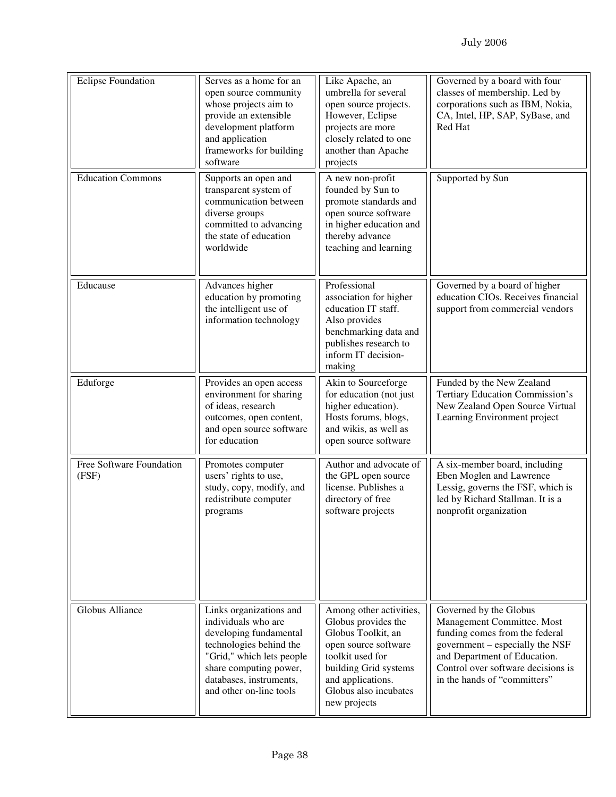| <b>Eclipse Foundation</b>         | Serves as a home for an<br>open source community<br>whose projects aim to<br>provide an extensible<br>development platform<br>and application<br>frameworks for building<br>software                             | Like Apache, an<br>umbrella for several<br>open source projects.<br>However, Eclipse<br>projects are more<br>closely related to one<br>another than Apache<br>projects                                  | Governed by a board with four<br>classes of membership. Led by<br>corporations such as IBM, Nokia,<br>CA, Intel, HP, SAP, SyBase, and<br>Red Hat                                                                                |
|-----------------------------------|------------------------------------------------------------------------------------------------------------------------------------------------------------------------------------------------------------------|---------------------------------------------------------------------------------------------------------------------------------------------------------------------------------------------------------|---------------------------------------------------------------------------------------------------------------------------------------------------------------------------------------------------------------------------------|
| <b>Education Commons</b>          | Supports an open and<br>transparent system of<br>communication between<br>diverse groups<br>committed to advancing<br>the state of education<br>worldwide                                                        | A new non-profit<br>founded by Sun to<br>promote standards and<br>open source software<br>in higher education and<br>thereby advance<br>teaching and learning                                           | Supported by Sun                                                                                                                                                                                                                |
| Educause                          | Advances higher<br>education by promoting<br>the intelligent use of<br>information technology                                                                                                                    | Professional<br>association for higher<br>education IT staff.<br>Also provides<br>benchmarking data and<br>publishes research to<br>inform IT decision-<br>making                                       | Governed by a board of higher<br>education CIOs. Receives financial<br>support from commercial vendors                                                                                                                          |
| Eduforge                          | Provides an open access<br>environment for sharing<br>of ideas, research<br>outcomes, open content,<br>and open source software<br>for education                                                                 | Akin to Sourceforge<br>for education (not just<br>higher education).<br>Hosts forums, blogs,<br>and wikis, as well as<br>open source software                                                           | Funded by the New Zealand<br>Tertiary Education Commission's<br>New Zealand Open Source Virtual<br>Learning Environment project                                                                                                 |
| Free Software Foundation<br>(FSF) | Promotes computer<br>users' rights to use,<br>study, copy, modify, and<br>redistribute computer<br>programs                                                                                                      | Author and advocate of<br>the GPL open source<br>license. Publishes a<br>directory of free<br>software projects                                                                                         | A six-member board, including<br>Eben Moglen and Lawrence<br>Lessig, governs the FSF, which is<br>led by Richard Stallman. It is a<br>nonprofit organization                                                                    |
| Globus Alliance                   | Links organizations and<br>individuals who are<br>developing fundamental<br>technologies behind the<br>"Grid," which lets people<br>share computing power,<br>databases, instruments,<br>and other on-line tools | Among other activities,<br>Globus provides the<br>Globus Toolkit, an<br>open source software<br>toolkit used for<br>building Grid systems<br>and applications.<br>Globus also incubates<br>new projects | Governed by the Globus<br>Management Committee. Most<br>funding comes from the federal<br>government – especially the NSF<br>and Department of Education.<br>Control over software decisions is<br>in the hands of "committers" |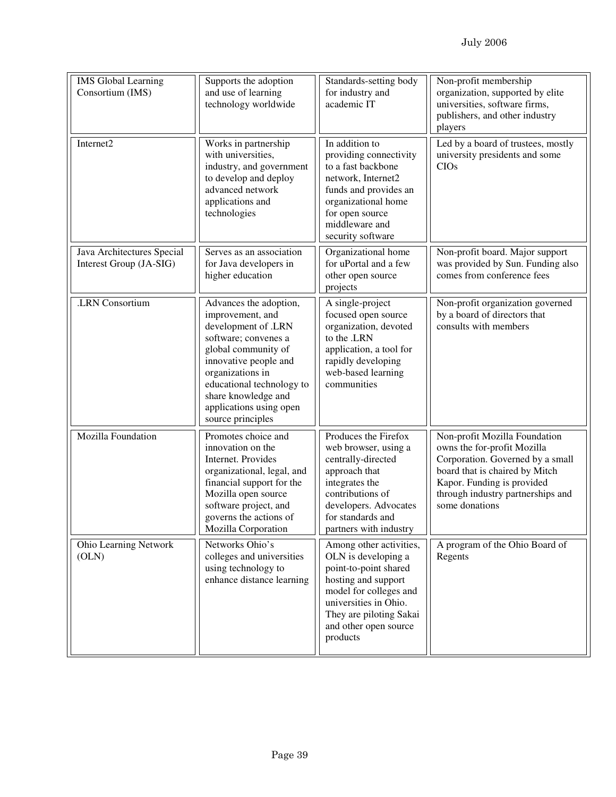| <b>IMS</b> Global Learning<br>Consortium (IMS)        | Supports the adoption<br>and use of learning<br>technology worldwide                                                                                                                                                                                              | Standards-setting body<br>for industry and<br>academic IT                                                                                                                                                         | Non-profit membership<br>organization, supported by elite<br>universities, software firms,<br>publishers, and other industry<br>players                                                                                 |
|-------------------------------------------------------|-------------------------------------------------------------------------------------------------------------------------------------------------------------------------------------------------------------------------------------------------------------------|-------------------------------------------------------------------------------------------------------------------------------------------------------------------------------------------------------------------|-------------------------------------------------------------------------------------------------------------------------------------------------------------------------------------------------------------------------|
| Internet2                                             | Works in partnership<br>with universities,<br>industry, and government<br>to develop and deploy<br>advanced network<br>applications and<br>technologies                                                                                                           | In addition to<br>providing connectivity<br>to a fast backbone<br>network, Internet2<br>funds and provides an<br>organizational home<br>for open source<br>middleware and<br>security software                    | Led by a board of trustees, mostly<br>university presidents and some<br><b>CIOs</b>                                                                                                                                     |
| Java Architectures Special<br>Interest Group (JA-SIG) | Serves as an association<br>for Java developers in<br>higher education                                                                                                                                                                                            | Organizational home<br>for uPortal and a few<br>other open source<br>projects                                                                                                                                     | Non-profit board. Major support<br>was provided by Sun. Funding also<br>comes from conference fees                                                                                                                      |
| .LRN Consortium                                       | Advances the adoption,<br>improvement, and<br>development of .LRN<br>software; convenes a<br>global community of<br>innovative people and<br>organizations in<br>educational technology to<br>share knowledge and<br>applications using open<br>source principles | A single-project<br>focused open source<br>organization, devoted<br>to the .LRN<br>application, a tool for<br>rapidly developing<br>web-based learning<br>communities                                             | Non-profit organization governed<br>by a board of directors that<br>consults with members                                                                                                                               |
| Mozilla Foundation                                    | Promotes choice and<br>innovation on the<br>Internet. Provides<br>organizational, legal, and<br>financial support for the<br>Mozilla open source<br>software project, and<br>governs the actions of<br>Mozilla Corporation                                        | Produces the Firefox<br>web browser, using a<br>centrally-directed<br>approach that<br>integrates the<br>contributions of<br>developers. Advocates<br>for standards and<br>partners with industry                 | Non-profit Mozilla Foundation<br>owns the for-profit Mozilla<br>Corporation. Governed by a small<br>board that is chaired by Mitch<br>Kapor. Funding is provided<br>through industry partnerships and<br>some donations |
| Ohio Learning Network<br>(OLN)                        | Networks Ohio's<br>colleges and universities<br>using technology to<br>enhance distance learning                                                                                                                                                                  | Among other activities,<br>OLN is developing a<br>point-to-point shared<br>hosting and support<br>model for colleges and<br>universities in Ohio.<br>They are piloting Sakai<br>and other open source<br>products | A program of the Ohio Board of<br>Regents                                                                                                                                                                               |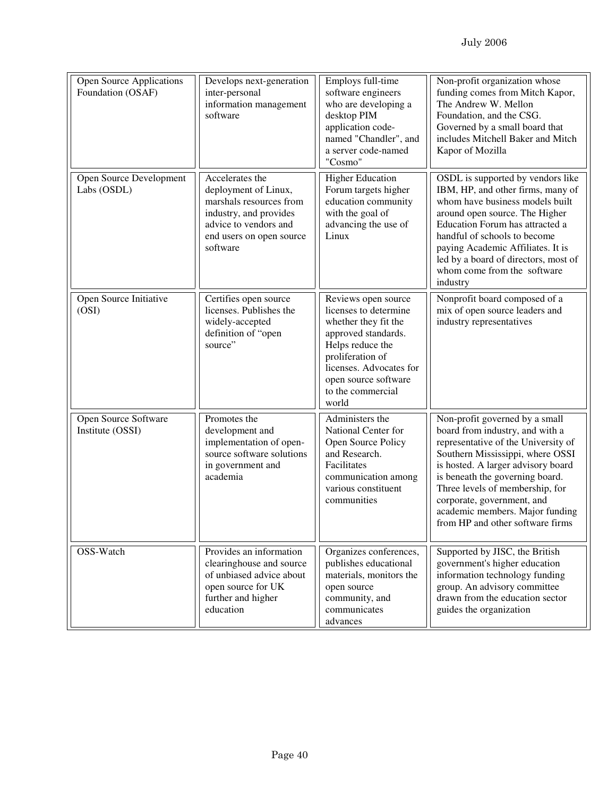| <b>Open Source Applications</b><br>Foundation (OSAF) | Develops next-generation<br>inter-personal<br>information management<br>software                                                                              | Employs full-time<br>software engineers<br>who are developing a<br>desktop PIM<br>application code-<br>named "Chandler", and<br>a server code-named<br>"Cosmo"                                                       | Non-profit organization whose<br>funding comes from Mitch Kapor,<br>The Andrew W. Mellon<br>Foundation, and the CSG.<br>Governed by a small board that<br>includes Mitchell Baker and Mitch<br>Kapor of Mozilla                                                                                                                                               |
|------------------------------------------------------|---------------------------------------------------------------------------------------------------------------------------------------------------------------|----------------------------------------------------------------------------------------------------------------------------------------------------------------------------------------------------------------------|---------------------------------------------------------------------------------------------------------------------------------------------------------------------------------------------------------------------------------------------------------------------------------------------------------------------------------------------------------------|
| Open Source Development<br>Labs (OSDL)               | Accelerates the<br>deployment of Linux,<br>marshals resources from<br>industry, and provides<br>advice to vendors and<br>end users on open source<br>software | <b>Higher Education</b><br>Forum targets higher<br>education community<br>with the goal of<br>advancing the use of<br>Linux                                                                                          | OSDL is supported by vendors like<br>IBM, HP, and other firms, many of<br>whom have business models built<br>around open source. The Higher<br>Education Forum has attracted a<br>handful of schools to become<br>paying Academic Affiliates. It is<br>led by a board of directors, most of<br>whom come from the software<br>industry                        |
| Open Source Initiative<br>(OSI)                      | Certifies open source<br>licenses. Publishes the<br>widely-accepted<br>definition of "open<br>source"                                                         | Reviews open source<br>licenses to determine<br>whether they fit the<br>approved standards.<br>Helps reduce the<br>proliferation of<br>licenses. Advocates for<br>open source software<br>to the commercial<br>world | Nonprofit board composed of a<br>mix of open source leaders and<br>industry representatives                                                                                                                                                                                                                                                                   |
| Open Source Software<br>Institute (OSSI)             | Promotes the<br>development and<br>implementation of open-<br>source software solutions<br>in government and<br>academia                                      | Administers the<br>National Center for<br>Open Source Policy<br>and Research.<br>Facilitates<br>communication among<br>various constituent<br>communities                                                            | Non-profit governed by a small<br>board from industry, and with a<br>representative of the University of<br>Southern Mississippi, where OSSI<br>is hosted. A larger advisory board<br>is beneath the governing board.<br>Three levels of membership, for<br>corporate, government, and<br>academic members. Major funding<br>from HP and other software firms |
| OSS-Watch                                            | Provides an information<br>clearinghouse and source<br>of unbiased advice about<br>open source for UK<br>further and higher<br>education                      | Organizes conferences,<br>publishes educational<br>materials, monitors the<br>open source<br>community, and<br>communicates<br>advances                                                                              | Supported by JISC, the British<br>government's higher education<br>information technology funding<br>group. An advisory committee<br>drawn from the education sector<br>guides the organization                                                                                                                                                               |